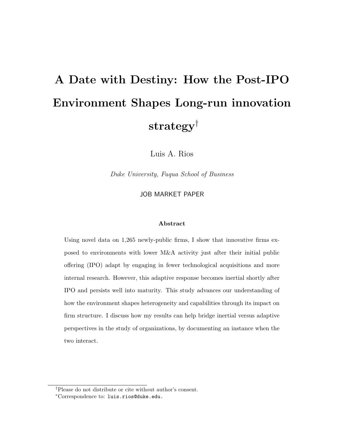# A Date with Destiny: How the Post-IPO Environment Shapes Long-run innovation strategy†

Luis A. Rios

Duke University, Fuqua School of Business

JOB MARKET PAPER

#### Abstract

Using novel data on 1,265 newly-public firms, I show that innovative firms exposed to environments with lower M&A activity just after their initial public offering (IPO) adapt by engaging in fewer technological acquisitions and more internal research. However, this adaptive response becomes inertial shortly after IPO and persists well into maturity. This study advances our understanding of how the environment shapes heterogeneity and capabilities through its impact on firm structure. I discuss how my results can help bridge inertial versus adaptive perspectives in the study of organizations, by documenting an instance when the two interact.

<sup>†</sup>Please do not distribute or cite without author's consent.

<sup>∗</sup>Correspondence to: luis.rios@duke.edu.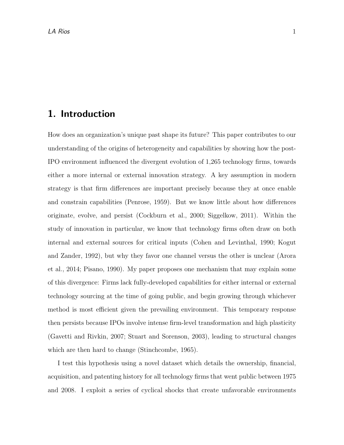### 1. Introduction

How does an organization's unique past shape its future? This paper contributes to our understanding of the origins of heterogeneity and capabilities by showing how the post-IPO environment influenced the divergent evolution of 1,265 technology firms, towards either a more internal or external innovation strategy. A key assumption in modern strategy is that firm differences are important precisely because they at once enable and constrain capabilities (Penrose, 1959). But we know little about how differences originate, evolve, and persist (Cockburn et al., 2000; Siggelkow, 2011). Within the study of innovation in particular, we know that technology firms often draw on both internal and external sources for critical inputs (Cohen and Levinthal, 1990; Kogut and Zander, 1992), but why they favor one channel versus the other is unclear (Arora et al., 2014; Pisano, 1990). My paper proposes one mechanism that may explain some of this divergence: Firms lack fully-developed capabilities for either internal or external technology sourcing at the time of going public, and begin growing through whichever method is most efficient given the prevailing environment. This temporary response then persists because IPOs involve intense firm-level transformation and high plasticity (Gavetti and Rivkin, 2007; Stuart and Sorenson, 2003), leading to structural changes which are then hard to change (Stinchcombe, 1965).

I test this hypothesis using a novel dataset which details the ownership, financial, acquisition, and patenting history for all technology firms that went public between 1975 and 2008. I exploit a series of cyclical shocks that create unfavorable environments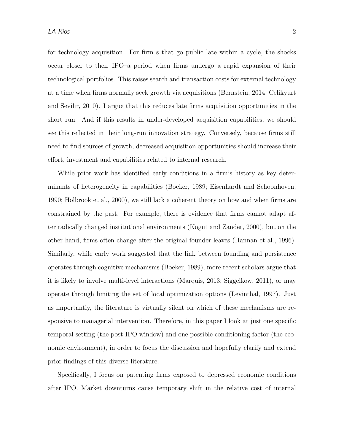for technology acquisition. For firm s that go public late within a cycle, the shocks occur closer to their IPO–a period when firms undergo a rapid expansion of their technological portfolios. This raises search and transaction costs for external technology at a time when firms normally seek growth via acquisitions (Bernstein, 2014; Celikyurt and Sevilir, 2010). I argue that this reduces late firms acquisition opportunities in the short run. And if this results in under-developed acquisition capabilities, we should see this reflected in their long-run innovation strategy. Conversely, because firms still need to find sources of growth, decreased acquisition opportunities should increase their effort, investment and capabilities related to internal research.

While prior work has identified early conditions in a firm's history as key determinants of heterogeneity in capabilities (Boeker, 1989; Eisenhardt and Schoonhoven, 1990; Holbrook et al., 2000), we still lack a coherent theory on how and when firms are constrained by the past. For example, there is evidence that firms cannot adapt after radically changed institutional environments (Kogut and Zander, 2000), but on the other hand, firms often change after the original founder leaves (Hannan et al., 1996). Similarly, while early work suggested that the link between founding and persistence operates through cognitive mechanisms (Boeker, 1989), more recent scholars argue that it is likely to involve multi-level interactions (Marquis, 2013; Siggelkow, 2011), or may operate through limiting the set of local optimization options (Levinthal, 1997). Just as importantly, the literature is virtually silent on which of these mechanisms are responsive to managerial intervention. Therefore, in this paper I look at just one specific temporal setting (the post-IPO window) and one possible conditioning factor (the economic environment), in order to focus the discussion and hopefully clarify and extend prior findings of this diverse literature.

Specifically, I focus on patenting firms exposed to depressed economic conditions after IPO. Market downturns cause temporary shift in the relative cost of internal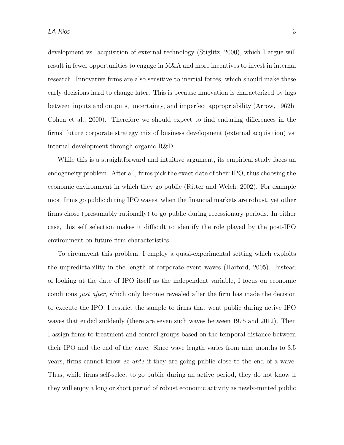development vs. acquisition of external technology (Stiglitz, 2000), which I argue will result in fewer opportunities to engage in M&A and more incentives to invest in internal research. Innovative firms are also sensitive to inertial forces, which should make these early decisions hard to change later. This is because innovation is characterized by lags between inputs and outputs, uncertainty, and imperfect appropriability (Arrow, 1962b; Cohen et al., 2000). Therefore we should expect to find enduring differences in the firms' future corporate strategy mix of business development (external acquisition) vs. internal development through organic R&D.

While this is a straightforward and intuitive argument, its empirical study faces an endogeneity problem. After all, firms pick the exact date of their IPO, thus choosing the economic environment in which they go public (Ritter and Welch, 2002). For example most firms go public during IPO waves, when the financial markets are robust, yet other firms chose (presumably rationally) to go public during recessionary periods. In either case, this self selection makes it difficult to identify the role played by the post-IPO environment on future firm characteristics.

To circumvent this problem, I employ a quasi-experimental setting which exploits the unpredictability in the length of corporate event waves (Harford, 2005). Instead of looking at the date of IPO itself as the independent variable, I focus on economic conditions *just after*, which only become revealed after the firm has made the decision to execute the IPO. I restrict the sample to firms that went public during active IPO waves that ended suddenly (there are seven such waves between 1975 and 2012). Then I assign firms to treatment and control groups based on the temporal distance between their IPO and the end of the wave. Since wave length varies from nine months to 3.5 years, firms cannot know ex ante if they are going public close to the end of a wave. Thus, while firms self-select to go public during an active period, they do not know if they will enjoy a long or short period of robust economic activity as newly-minted public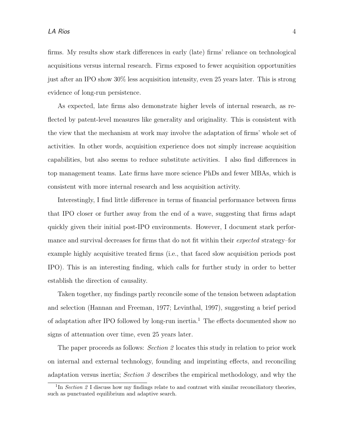firms. My results show stark differences in early (late) firms' reliance on technological acquisitions versus internal research. Firms exposed to fewer acquisition opportunities just after an IPO show 30% less acquisition intensity, even 25 years later. This is strong evidence of long-run persistence.

As expected, late firms also demonstrate higher levels of internal research, as reflected by patent-level measures like generality and originality. This is consistent with the view that the mechanism at work may involve the adaptation of firms' whole set of activities. In other words, acquisition experience does not simply increase acquisition capabilities, but also seems to reduce substitute activities. I also find differences in top management teams. Late firms have more science PhDs and fewer MBAs, which is consistent with more internal research and less acquisition activity.

Interestingly, I find little difference in terms of financial performance between firms that IPO closer or further away from the end of a wave, suggesting that firms adapt quickly given their initial post-IPO environments. However, I document stark performance and survival decreases for firms that do not fit within their expected strategy–for example highly acquisitive treated firms (i.e., that faced slow acquisition periods post IPO). This is an interesting finding, which calls for further study in order to better establish the direction of causality.

Taken together, my findings partly reconcile some of the tension between adaptation and selection (Hannan and Freeman, 1977; Levinthal, 1997), suggesting a brief period of adaptation after IPO followed by long-run inertia.<sup>1</sup> The effects documented show no signs of attenuation over time, even 25 years later.

The paper proceeds as follows: *Section 2* locates this study in relation to prior work on internal and external technology, founding and imprinting effects, and reconciling adaptation versus inertia; Section  $\beta$  describes the empirical methodology, and why the

<sup>&</sup>lt;sup>1</sup>In Section 2 I discuss how my findings relate to and contrast with similar reconciliatory theories, such as punctuated equilibrium and adaptive search.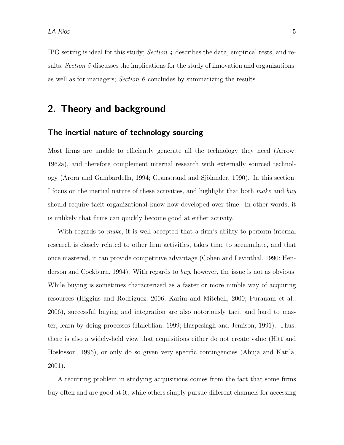IPO setting is ideal for this study; Section 4 describes the data, empirical tests, and results; Section 5 discusses the implications for the study of innovation and organizations, as well as for managers; Section 6 concludes by summarizing the results.

### 2. Theory and background

#### The inertial nature of technology sourcing

Most firms are unable to efficiently generate all the technology they need (Arrow, 1962a), and therefore complement internal research with externally sourced technology (Arora and Gambardella, 1994; Granstrand and Sjölander, 1990). In this section, I focus on the inertial nature of these activities, and highlight that both make and buy should require tacit organizational know-how developed over time. In other words, it is unlikely that firms can quickly become good at either activity.

With regards to *make*, it is well accepted that a firm's ability to perform internal research is closely related to other firm activities, takes time to accumulate, and that once mastered, it can provide competitive advantage (Cohen and Levinthal, 1990; Henderson and Cockburn, 1994). With regards to *buy*, however, the issue is not as obvious. While buying is sometimes characterized as a faster or more nimble way of acquiring resources (Higgins and Rodriguez, 2006; Karim and Mitchell, 2000; Puranam et al., 2006), successful buying and integration are also notoriously tacit and hard to master, learn-by-doing processes (Haleblian, 1999; Haspeslagh and Jemison, 1991). Thus, there is also a widely-held view that acquisitions either do not create value (Hitt and Hoskisson, 1996), or only do so given very specific contingencies (Ahuja and Katila, 2001).

A recurring problem in studying acquisitions comes from the fact that some firms buy often and are good at it, while others simply pursue different channels for accessing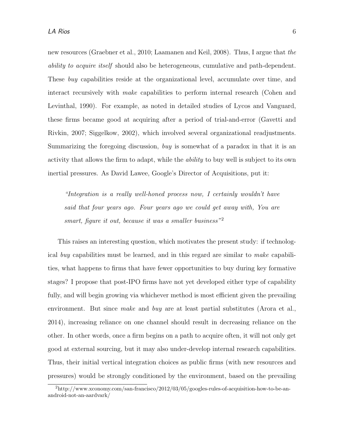new resources (Graebner et al., 2010; Laamanen and Keil, 2008). Thus, I argue that the ability to acquire itself should also be heterogeneous, cumulative and path-dependent. These buy capabilities reside at the organizational level, accumulate over time, and interact recursively with make capabilities to perform internal research (Cohen and Levinthal, 1990). For example, as noted in detailed studies of Lycos and Vanguard, these firms became good at acquiring after a period of trial-and-error (Gavetti and Rivkin, 2007; Siggelkow, 2002), which involved several organizational readjustments. Summarizing the foregoing discussion, buy is somewhat of a paradox in that it is an activity that allows the firm to adapt, while the ability to buy well is subject to its own inertial pressures. As David Lawee, Google's Director of Acquisitions, put it:

"Integration is a really well-honed process now, I certainly wouldn't have said that four years ago. Four years ago we could get away with, You are smart, figure it out, because it was a smaller business"<sup>2</sup>

This raises an interesting question, which motivates the present study: if technological buy capabilities must be learned, and in this regard are similar to make capabilities, what happens to firms that have fewer opportunities to buy during key formative stages? I propose that post-IPO firms have not yet developed either type of capability fully, and will begin growing via whichever method is most efficient given the prevailing environment. But since make and buy are at least partial substitutes (Arora et al., 2014), increasing reliance on one channel should result in decreasing reliance on the other. In other words, once a firm begins on a path to acquire often, it will not only get good at external sourcing, but it may also under-develop internal research capabilities. Thus, their initial vertical integration choices as public firms (with new resources and pressures) would be strongly conditioned by the environment, based on the prevailing

<sup>2</sup>http://www.xconomy.com/san-francisco/2012/03/05/googles-rules-of-acquisition-how-to-be-anandroid-not-an-aardvark/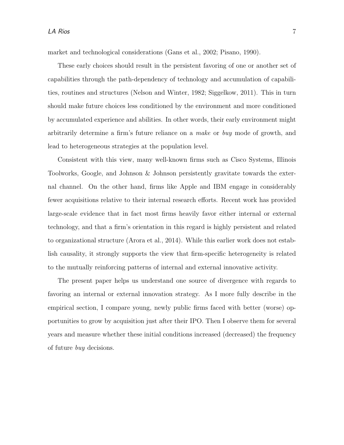market and technological considerations (Gans et al., 2002; Pisano, 1990).

These early choices should result in the persistent favoring of one or another set of capabilities through the path-dependency of technology and accumulation of capabilities, routines and structures (Nelson and Winter, 1982; Siggelkow, 2011). This in turn should make future choices less conditioned by the environment and more conditioned by accumulated experience and abilities. In other words, their early environment might arbitrarily determine a firm's future reliance on a make or buy mode of growth, and lead to heterogeneous strategies at the population level.

Consistent with this view, many well-known firms such as Cisco Systems, Illinois Toolworks, Google, and Johnson & Johnson persistently gravitate towards the external channel. On the other hand, firms like Apple and IBM engage in considerably fewer acquisitions relative to their internal research efforts. Recent work has provided large-scale evidence that in fact most firms heavily favor either internal or external technology, and that a firm's orientation in this regard is highly persistent and related to organizational structure (Arora et al., 2014). While this earlier work does not establish causality, it strongly supports the view that firm-specific heterogeneity is related to the mutually reinforcing patterns of internal and external innovative activity.

The present paper helps us understand one source of divergence with regards to favoring an internal or external innovation strategy. As I more fully describe in the empirical section, I compare young, newly public firms faced with better (worse) opportunities to grow by acquisition just after their IPO. Then I observe them for several years and measure whether these initial conditions increased (decreased) the frequency of future buy decisions.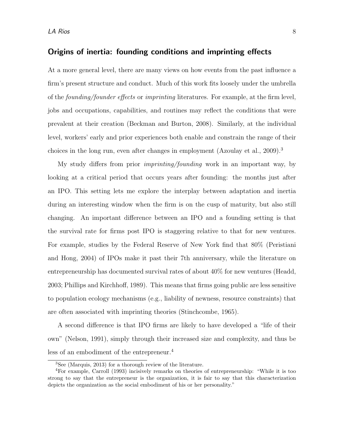#### Origins of inertia: founding conditions and imprinting effects

At a more general level, there are many views on how events from the past influence a firm's present structure and conduct. Much of this work fits loosely under the umbrella of the founding/founder effects or imprinting literatures. For example, at the firm level, jobs and occupations, capabilities, and routines may reflect the conditions that were prevalent at their creation (Beckman and Burton, 2008). Similarly, at the individual level, workers' early and prior experiences both enable and constrain the range of their choices in the long run, even after changes in employment (Azoulay et al.,  $2009$ ).<sup>3</sup>

My study differs from prior imprinting/founding work in an important way, by looking at a critical period that occurs years after founding: the months just after an IPO. This setting lets me explore the interplay between adaptation and inertia during an interesting window when the firm is on the cusp of maturity, but also still changing. An important difference between an IPO and a founding setting is that the survival rate for firms post IPO is staggering relative to that for new ventures. For example, studies by the Federal Reserve of New York find that 80% (Peristiani and Hong, 2004) of IPOs make it past their 7th anniversary, while the literature on entrepreneurship has documented survival rates of about 40% for new ventures (Headd, 2003; Phillips and Kirchhoff, 1989). This means that firms going public are less sensitive to population ecology mechanisms (e.g., liability of newness, resource constraints) that are often associated with imprinting theories (Stinchcombe, 1965).

A second difference is that IPO firms are likely to have developed a "life of their own" (Nelson, 1991), simply through their increased size and complexity, and thus be less of an embodiment of the entrepreneur.<sup>4</sup>

<sup>3</sup>See (Marquis, 2013) for a thorough review of the literature.

<sup>4</sup>For example, Carroll (1993) incisively remarks on theories of entrepreneurship: "While it is too strong to say that the entrepreneur is the organization, it is fair to say that this characterization depicts the organization as the social embodiment of his or her personality."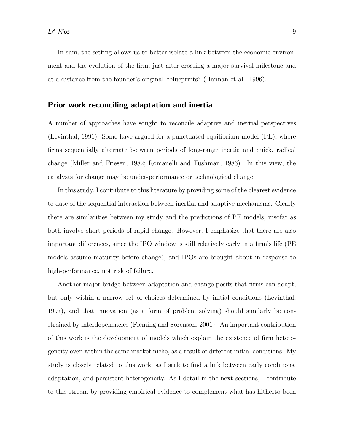In sum, the setting allows us to better isolate a link between the economic environment and the evolution of the firm, just after crossing a major survival milestone and at a distance from the founder's original "blueprints" (Hannan et al., 1996).

#### Prior work reconciling adaptation and inertia

A number of approaches have sought to reconcile adaptive and inertial perspectives (Levinthal, 1991). Some have argued for a punctuated equilibrium model (PE), where firms sequentially alternate between periods of long-range inertia and quick, radical change (Miller and Friesen, 1982; Romanelli and Tushman, 1986). In this view, the catalysts for change may be under-performance or technological change.

In this study, I contribute to this literature by providing some of the clearest evidence to date of the sequential interaction between inertial and adaptive mechanisms. Clearly there are similarities between my study and the predictions of PE models, insofar as both involve short periods of rapid change. However, I emphasize that there are also important differences, since the IPO window is still relatively early in a firm's life (PE models assume maturity before change), and IPOs are brought about in response to high-performance, not risk of failure.

Another major bridge between adaptation and change posits that firms can adapt, but only within a narrow set of choices determined by initial conditions (Levinthal, 1997), and that innovation (as a form of problem solving) should similarly be constrained by interdepenencies (Fleming and Sorenson, 2001). An important contribution of this work is the development of models which explain the existence of firm heterogeneity even within the same market niche, as a result of different initial conditions. My study is closely related to this work, as I seek to find a link between early conditions, adaptation, and persistent heterogeneity. As I detail in the next sections, I contribute to this stream by providing empirical evidence to complement what has hitherto been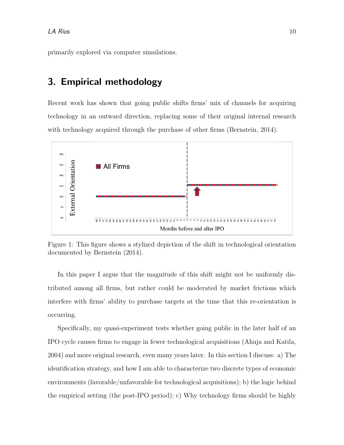primarily explored via computer simulations.

### 3. Empirical methodology

Recent work has shown that going public shifts firms' mix of channels for acquiring technology in an outward direction, replacing some of their original internal research with technology acquired through the purchase of other firms (Bernstein, 2014).



Figure 1: This figure shows a stylized depiction of the shift in technological orientation documented by Bernstein (2014).

In this paper I argue that the magnitude of this shift might not be uniformly distributed among all firms, but rather could be moderated by market frictions which interfere with firms' ability to purchase targets at the time that this re-orientation is occurring.

Specifically, my quasi-experiment tests whether going public in the later half of an IPO cycle causes firms to engage in fewer technological acquisitions (Ahuja and Katila, 2004) and more original research, even many years later. In this section I discuss: a) The identification strategy, and how I am able to characterize two discrete types of economic environments (favorable/unfavorable for technological acquisitions); b) the logic behind the empirical setting (the post-IPO period); c) Why technology firms should be highly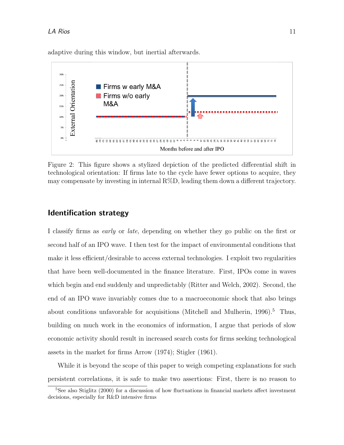

adaptive during this window, but inertial afterwards.

Figure 2: This figure shows a stylized depiction of the predicted differential shift in technological orientation: If firms late to the cycle have fewer options to acquire, they may compensate by investing in internal  $R\%D$ , leading them down a different trajectory.

#### Identification strategy

I classify firms as early or late, depending on whether they go public on the first or second half of an IPO wave. I then test for the impact of environmental conditions that make it less efficient/desirable to access external technologies. I exploit two regularities that have been well-documented in the finance literature. First, IPOs come in waves which begin and end suddenly and unpredictably (Ritter and Welch, 2002). Second, the end of an IPO wave invariably comes due to a macroeconomic shock that also brings about conditions unfavorable for acquisitions (Mitchell and Mulherin,  $1996$ ).<sup>5</sup> Thus, building on much work in the economics of information, I argue that periods of slow economic activity should result in increased search costs for firms seeking technological assets in the market for firms Arrow (1974); Stigler (1961).

While it is beyond the scope of this paper to weigh competing explanations for such persistent correlations, it is safe to make two assertions: First, there is no reason to

<sup>&</sup>lt;sup>5</sup>See also Stiglitz (2000) for a discussion of how fluctuations in financial markets affect investment decisions, especially for R&D intensive firms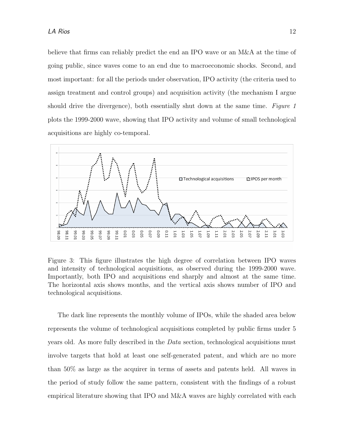believe that firms can reliably predict the end an IPO wave or an M&A at the time of going public, since waves come to an end due to macroeconomic shocks. Second, and most important: for all the periods under observation, IPO activity (the criteria used to assign treatment and control groups) and acquisition activity (the mechanism I argue should drive the divergence), both essentially shut down at the same time. Figure 1 plots the 1999-2000 wave, showing that IPO activity and volume of small technological acquisitions are highly co-temporal.



Figure 3: This figure illustrates the high degree of correlation between IPO waves and intensity of technological acquisitions, as observed during the 1999-2000 wave. Importantly, both IPO and acquisitions end sharply and almost at the same time. The horizontal axis shows months, and the vertical axis shows number of IPO and technological acquisitions.

The dark line represents the monthly volume of IPOs, while the shaded area below represents the volume of technological acquisitions completed by public firms under 5 years old. As more fully described in the Data section, technological acquisitions must involve targets that hold at least one self-generated patent, and which are no more than 50% as large as the acquirer in terms of assets and patents held. All waves in the period of study follow the same pattern, consistent with the findings of a robust empirical literature showing that IPO and M&A waves are highly correlated with each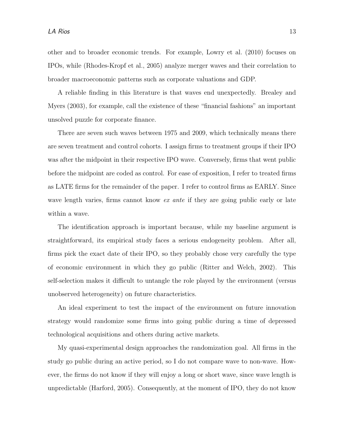other and to broader economic trends. For example, Lowry et al. (2010) focuses on IPOs, while (Rhodes-Kropf et al., 2005) analyze merger waves and their correlation to broader macroeconomic patterns such as corporate valuations and GDP.

A reliable finding in this literature is that waves end unexpectedly. Brealey and Myers (2003), for example, call the existence of these "financial fashions" an important unsolved puzzle for corporate finance.

There are seven such waves between 1975 and 2009, which technically means there are seven treatment and control cohorts. I assign firms to treatment groups if their IPO was after the midpoint in their respective IPO wave. Conversely, firms that went public before the midpoint are coded as control. For ease of exposition, I refer to treated firms as LATE firms for the remainder of the paper. I refer to control firms as EARLY. Since wave length varies, firms cannot know *ex ante* if they are going public early or late within a wave.

The identification approach is important because, while my baseline argument is straightforward, its empirical study faces a serious endogeneity problem. After all, firms pick the exact date of their IPO, so they probably chose very carefully the type of economic environment in which they go public (Ritter and Welch, 2002). This self-selection makes it difficult to untangle the role played by the environment (versus unobserved heterogeneity) on future characteristics.

An ideal experiment to test the impact of the environment on future innovation strategy would randomize some firms into going public during a time of depressed technological acquisitions and others during active markets.

My quasi-experimental design approaches the randomization goal. All firms in the study go public during an active period, so I do not compare wave to non-wave. However, the firms do not know if they will enjoy a long or short wave, since wave length is unpredictable (Harford, 2005). Consequently, at the moment of IPO, they do not know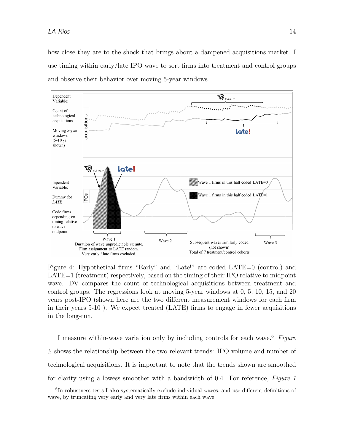how close they are to the shock that brings about a dampened acquisitions market. I use timing within early/late IPO wave to sort firms into treatment and control groups and observe their behavior over moving 5-year windows.



Figure 4: Hypothetical firms "Early" and "Late!" are coded LATE=0 (control) and LATE=1 (treatment) respectively, based on the timing of their IPO relative to midpoint wave. DV compares the count of technological acquisitions between treatment and control groups. The regressions look at moving 5-year windows at 0, 5, 10, 15, and 20 years post-IPO (shown here are the two different measurement windows for each firm in their years 5-10 ). We expect treated (LATE) firms to engage in fewer acquisitions in the long-run.

I measure within-wave variation only by including controls for each wave.<sup>6</sup> Figure 2 shows the relationship between the two relevant trends: IPO volume and number of technological acquisitions. It is important to note that the trends shown are smoothed for clarity using a lowess smoother with a bandwidth of 0.4. For reference, Figure 1

<sup>&</sup>lt;sup>6</sup>In robustness tests I also systematically exclude individual waves, and use different definitions of wave, by truncating very early and very late firms within each wave.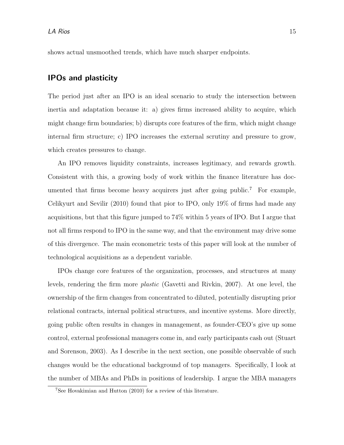shows actual unsmoothed trends, which have much sharper endpoints.

### IPOs and plasticity

The period just after an IPO is an ideal scenario to study the intersection between inertia and adaptation because it: a) gives firms increased ability to acquire, which might change firm boundaries; b) disrupts core features of the firm, which might change internal firm structure; c) IPO increases the external scrutiny and pressure to grow, which creates pressures to change.

An IPO removes liquidity constraints, increases legitimacy, and rewards growth. Consistent with this, a growing body of work within the finance literature has documented that firms become heavy acquirers just after going public.<sup>7</sup> For example, Celikyurt and Sevilir (2010) found that pior to IPO, only 19% of firms had made any acquisitions, but that this figure jumped to 74% within 5 years of IPO. But I argue that not all firms respond to IPO in the same way, and that the environment may drive some of this divergence. The main econometric tests of this paper will look at the number of technological acquisitions as a dependent variable.

IPOs change core features of the organization, processes, and structures at many levels, rendering the firm more plastic (Gavetti and Rivkin, 2007). At one level, the ownership of the firm changes from concentrated to diluted, potentially disrupting prior relational contracts, internal political structures, and incentive systems. More directly, going public often results in changes in management, as founder-CEO's give up some control, external professional managers come in, and early participants cash out (Stuart and Sorenson, 2003). As I describe in the next section, one possible observable of such changes would be the educational background of top managers. Specifically, I look at the number of MBAs and PhDs in positions of leadership. I argue the MBA managers

<sup>7</sup>See Hovakimian and Hutton (2010) for a review of this literature.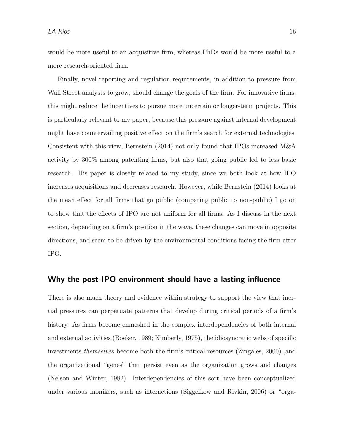would be more useful to an acquisitive firm, whereas PhDs would be more useful to a more research-oriented firm.

Finally, novel reporting and regulation requirements, in addition to pressure from Wall Street analysts to grow, should change the goals of the firm. For innovative firms, this might reduce the incentives to pursue more uncertain or longer-term projects. This is particularly relevant to my paper, because this pressure against internal development might have countervailing positive effect on the firm's search for external technologies. Consistent with this view, Bernstein (2014) not only found that IPOs increased M&A activity by 300% among patenting firms, but also that going public led to less basic research. His paper is closely related to my study, since we both look at how IPO increases acquisitions and decreases research. However, while Bernstein (2014) looks at the mean effect for all firms that go public (comparing public to non-public) I go on to show that the effects of IPO are not uniform for all firms. As I discuss in the next section, depending on a firm's position in the wave, these changes can move in opposite directions, and seem to be driven by the environmental conditions facing the firm after IPO.

#### Why the post-IPO environment should have a lasting influence

There is also much theory and evidence within strategy to support the view that inertial pressures can perpetuate patterns that develop during critical periods of a firm's history. As firms become enmeshed in the complex interdependencies of both internal and external activities (Boeker, 1989; Kimberly, 1975), the idiosyncratic webs of specific investments themselves become both the firm's critical resources (Zingales, 2000) ,and the organizational "genes" that persist even as the organization grows and changes (Nelson and Winter, 1982). Interdependencies of this sort have been conceptualized under various monikers, such as interactions (Siggelkow and Rivkin, 2006) or "orga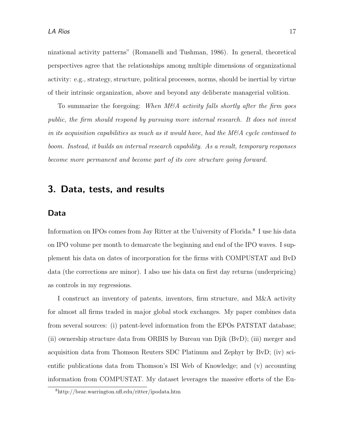nizational activity patterns" (Romanelli and Tushman, 1986). In general, theoretical perspectives agree that the relationships among multiple dimensions of organizational activity: e.g., strategy, structure, political processes, norms, should be inertial by virtue of their intrinsic organization, above and beyond any deliberate managerial volition.

To summarize the foregoing: When  $M\&A$  activity falls shortly after the firm goes public, the firm should respond by pursuing more internal research. It does not invest in its acquisition capabilities as much as it would have, had the  $M\&A$  cycle continued to boom. Instead, it builds an internal research capability. As a result, temporary responses become more permanent and become part of its core structure going forward.

### 3. Data, tests, and results

#### Data

Information on IPOs comes from Jay Ritter at the University of Florida.<sup>8</sup> I use his data on IPO volume per month to demarcate the beginning and end of the IPO waves. I supplement his data on dates of incorporation for the firms with COMPUSTAT and BvD data (the corrections are minor). I also use his data on first day returns (underpricing) as controls in my regressions.

I construct an inventory of patents, inventors, firm structure, and M&A activity for almost all firms traded in major global stock exchanges. My paper combines data from several sources: (i) patent-level information from the EPOs PATSTAT database; (ii) ownership structure data from ORBIS by Bureau van Djik (BvD); (iii) merger and acquisition data from Thomson Reuters SDC Platinum and Zephyr by BvD; (iv) scientific publications data from Thomson's ISI Web of Knowledge; and (v) accounting information from COMPUSTAT. My dataset leverages the massive efforts of the Eu-

<sup>8</sup>http://bear.warrington.ufl.edu/ritter/ipodata.htm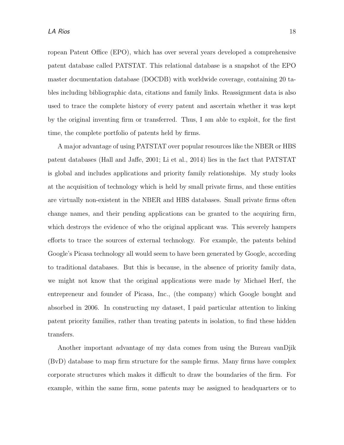ropean Patent Office (EPO), which has over several years developed a comprehensive patent database called PATSTAT. This relational database is a snapshot of the EPO master documentation database (DOCDB) with worldwide coverage, containing 20 tables including bibliographic data, citations and family links. Reassignment data is also used to trace the complete history of every patent and ascertain whether it was kept by the original inventing firm or transferred. Thus, I am able to exploit, for the first time, the complete portfolio of patents held by firms.

A major advantage of using PATSTAT over popular resources like the NBER or HBS patent databases (Hall and Jaffe, 2001; Li et al., 2014) lies in the fact that PATSTAT is global and includes applications and priority family relationships. My study looks at the acquisition of technology which is held by small private firms, and these entities are virtually non-existent in the NBER and HBS databases. Small private firms often change names, and their pending applications can be granted to the acquiring firm, which destroys the evidence of who the original applicant was. This severely hampers efforts to trace the sources of external technology. For example, the patents behind Google's Picasa technology all would seem to have been generated by Google, according to traditional databases. But this is because, in the absence of priority family data, we might not know that the original applications were made by Michael Herf, the entrepreneur and founder of Picasa, Inc., (the company) which Google bought and absorbed in 2006. In constructing my dataset, I paid particular attention to linking patent priority families, rather than treating patents in isolation, to find these hidden transfers.

Another important advantage of my data comes from using the Bureau vanDjik (BvD) database to map firm structure for the sample firms. Many firms have complex corporate structures which makes it difficult to draw the boundaries of the firm. For example, within the same firm, some patents may be assigned to headquarters or to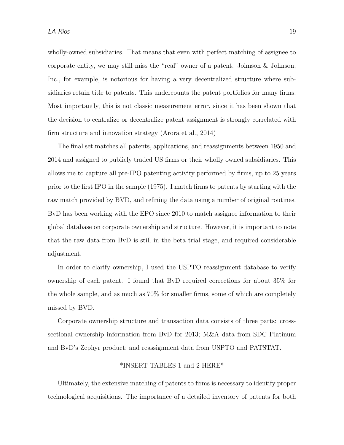wholly-owned subsidiaries. That means that even with perfect matching of assignee to corporate entity, we may still miss the "real" owner of a patent. Johnson & Johnson, Inc., for example, is notorious for having a very decentralized structure where subsidiaries retain title to patents. This undercounts the patent portfolios for many firms. Most importantly, this is not classic measurement error, since it has been shown that the decision to centralize or decentralize patent assignment is strongly correlated with firm structure and innovation strategy (Arora et al., 2014)

The final set matches all patents, applications, and reassignments between 1950 and 2014 and assigned to publicly traded US firms or their wholly owned subsidiaries. This allows me to capture all pre-IPO patenting activity performed by firms, up to 25 years prior to the first IPO in the sample (1975). I match firms to patents by starting with the raw match provided by BVD, and refining the data using a number of original routines. BvD has been working with the EPO since 2010 to match assignee information to their global database on corporate ownership and structure. However, it is important to note that the raw data from BvD is still in the beta trial stage, and required considerable adjustment.

In order to clarify ownership, I used the USPTO reassignment database to verify ownership of each patent. I found that BvD required corrections for about 35% for the whole sample, and as much as 70% for smaller firms, some of which are completely missed by BVD.

Corporate ownership structure and transaction data consists of three parts: crosssectional ownership information from BvD for 2013; M&A data from SDC Platinum and BvD's Zephyr product; and reassignment data from USPTO and PATSTAT.

#### \*INSERT TABLES 1 and 2 HERE\*

Ultimately, the extensive matching of patents to firms is necessary to identify proper technological acquisitions. The importance of a detailed inventory of patents for both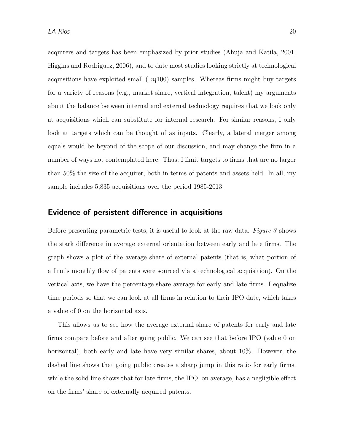acquirers and targets has been emphasized by prior studies (Ahuja and Katila, 2001; Higgins and Rodriguez, 2006), and to date most studies looking strictly at technological acquisitions have exploited small  $(n<sub>i</sub>100)$  samples. Whereas firms might buy targets for a variety of reasons (e.g., market share, vertical integration, talent) my arguments about the balance between internal and external technology requires that we look only at acquisitions which can substitute for internal research. For similar reasons, I only look at targets which can be thought of as inputs. Clearly, a lateral merger among equals would be beyond of the scope of our discussion, and may change the firm in a number of ways not contemplated here. Thus, I limit targets to firms that are no larger than 50% the size of the acquirer, both in terms of patents and assets held. In all, my sample includes 5,835 acquisitions over the period 1985-2013.

#### Evidence of persistent difference in acquisitions

Before presenting parametric tests, it is useful to look at the raw data. Figure  $\beta$  shows the stark difference in average external orientation between early and late firms. The graph shows a plot of the average share of external patents (that is, what portion of a firm's monthly flow of patents were sourced via a technological acquisition). On the vertical axis, we have the percentage share average for early and late firms. I equalize time periods so that we can look at all firms in relation to their IPO date, which takes a value of 0 on the horizontal axis.

This allows us to see how the average external share of patents for early and late firms compare before and after going public. We can see that before IPO (value 0 on horizontal), both early and late have very similar shares, about 10%. However, the dashed line shows that going public creates a sharp jump in this ratio for early firms. while the solid line shows that for late firms, the IPO, on average, has a negligible effect on the firms' share of externally acquired patents.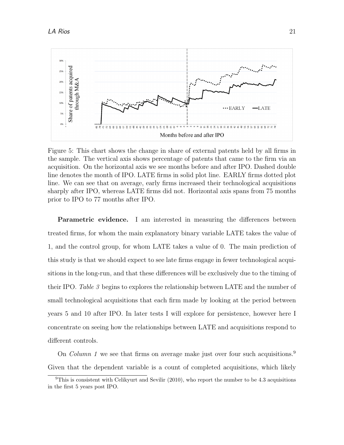

Figure 5: This chart shows the change in share of external patents held by all firms in the sample. The vertical axis shows percentage of patents that came to the firm via an acquisition. On the horizontal axis we see months before and after IPO. Dashed double line denotes the month of IPO. LATE firms in solid plot line. EARLY firms dotted plot line. We can see that on average, early firms increased their technological acquisitions sharply after IPO, whereas LATE firms did not. Horizontal axis spans from 75 months prior to IPO to 77 months after IPO.

Parametric evidence. I am interested in measuring the differences between treated firms, for whom the main explanatory binary variable LATE takes the value of 1, and the control group, for whom LATE takes a value of 0. The main prediction of this study is that we should expect to see late firms engage in fewer technological acquisitions in the long-run, and that these differences will be exclusively due to the timing of their IPO. Table 3 begins to explores the relationship between LATE and the number of small technological acquisitions that each firm made by looking at the period between years 5 and 10 after IPO. In later tests I will explore for persistence, however here I concentrate on seeing how the relationships between LATE and acquisitions respond to different controls.

On *Column 1* we see that firms on average make just over four such acquisitions.<sup>9</sup> Given that the dependent variable is a count of completed acquisitions, which likely

 $9$ This is consistent with Celikyurt and Sevilir (2010), who report the number to be 4.3 acquisitions in the first 5 years post IPO.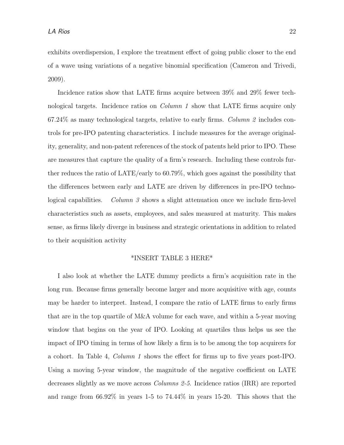exhibits overdispersion, I explore the treatment effect of going public closer to the end of a wave using variations of a negative binomial specification (Cameron and Trivedi, 2009).

Incidence ratios show that LATE firms acquire between 39% and 29% fewer technological targets. Incidence ratios on Column 1 show that LATE firms acquire only  $67.24\%$  as many technological targets, relative to early firms. Column 2 includes controls for pre-IPO patenting characteristics. I include measures for the average originality, generality, and non-patent references of the stock of patents held prior to IPO. These are measures that capture the quality of a firm's research. Including these controls further reduces the ratio of LATE/early to 60.79%, which goes against the possibility that the differences between early and LATE are driven by differences in pre-IPO technological capabilities. Column 3 shows a slight attenuation once we include firm-level characteristics such as assets, employees, and sales measured at maturity. This makes sense, as firms likely diverge in business and strategic orientations in addition to related to their acquisition activity

#### \*INSERT TABLE 3 HERE\*

I also look at whether the LATE dummy predicts a firm's acquisition rate in the long run. Because firms generally become larger and more acquisitive with age, counts may be harder to interpret. Instead, I compare the ratio of LATE firms to early firms that are in the top quartile of M&A volume for each wave, and within a 5-year moving window that begins on the year of IPO. Looking at quartiles thus helps us see the impact of IPO timing in terms of how likely a firm is to be among the top acquirers for a cohort. In Table 4, Column 1 shows the effect for firms up to five years post-IPO. Using a moving 5-year window, the magnitude of the negative coefficient on LATE decreases slightly as we move across Columns 2-5. Incidence ratios (IRR) are reported and range from 66.92% in years 1-5 to 74.44% in years 15-20. This shows that the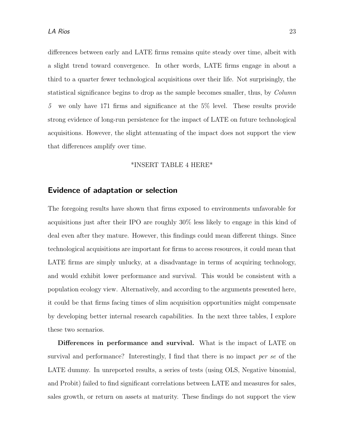differences between early and LATE firms remains quite steady over time, albeit with a slight trend toward convergence. In other words, LATE firms engage in about a third to a quarter fewer technological acquisitions over their life. Not surprisingly, the statistical significance begins to drop as the sample becomes smaller, thus, by Column 5 we only have 171 firms and significance at the 5% level. These results provide strong evidence of long-run persistence for the impact of LATE on future technological acquisitions. However, the slight attenuating of the impact does not support the view that differences amplify over time.

#### \*INSERT TABLE 4 HERE\*

#### Evidence of adaptation or selection

The foregoing results have shown that firms exposed to environments unfavorable for acquisitions just after their IPO are roughly 30% less likely to engage in this kind of deal even after they mature. However, this findings could mean different things. Since technological acquisitions are important for firms to access resources, it could mean that LATE firms are simply unlucky, at a disadvantage in terms of acquiring technology, and would exhibit lower performance and survival. This would be consistent with a population ecology view. Alternatively, and according to the arguments presented here, it could be that firms facing times of slim acquisition opportunities might compensate by developing better internal research capabilities. In the next three tables, I explore these two scenarios.

Differences in performance and survival. What is the impact of LATE on survival and performance? Interestingly, I find that there is no impact per se of the LATE dummy. In unreported results, a series of tests (using OLS, Negative binomial, and Probit) failed to find significant correlations between LATE and measures for sales, sales growth, or return on assets at maturity. These findings do not support the view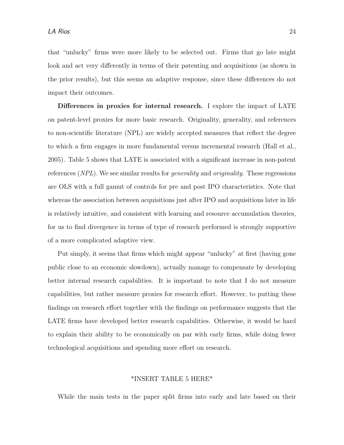that "unlucky" firms were more likely to be selected out. Firms that go late might look and act very differently in terms of their patenting and acquisitions (as shown in the prior results), but this seems an adaptive response, since these differences do not impact their outcomes.

Differences in proxies for internal research. I explore the impact of LATE on patent-level proxies for more basic research. Originality, generality, and references to non-scientific literature (NPL) are widely accepted measures that reflect the degree to which a firm engages in more fundamental versus incremental research (Hall et al., 2005). Table 5 shows that LATE is associated with a significant increase in non-patent references (NPL). We see similar results for generality and originality. These regressions are OLS with a full gamut of controls for pre and post IPO characteristics. Note that whereas the association between acquisitions just after IPO and acquisitions later in life is relatively intuitive, and consistent with learning and resource accumulation theories, for us to find divergence in terms of type of research performed is strongly supportive of a more complicated adaptive view.

Put simply, it seems that firms which might appear "unlucky" at first (having gone public close to an economic slowdown), actually manage to compensate by developing better internal research capabilities. It is important to note that I do not measure capabilities, but rather measure proxies for research effort. However, to putting these findings on research effort together with the findings on performance suggests that the LATE firms have developed better research capabilities. Otherwise, it would be hard to explain their ability to be economically on par with early firms, while doing fewer technological acquisitions and spending more effort on research.

#### \*INSERT TABLE 5 HERE\*

While the main tests in the paper split firms into early and late based on their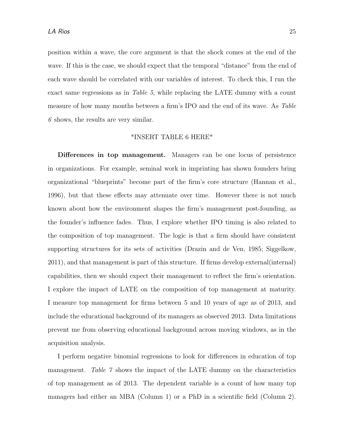position within a wave, the core argument is that the shock comes at the end of the wave. If this is the case, we should expect that the temporal "distance" from the end of each wave should be correlated with our variables of interest. To check this, I run the exact same regressions as in Table 5, while replacing the LATE dummy with a count measure of how many months between a firm's IPO and the end of its wave. As Table 6 shows, the results are very similar.

#### \*INSERT TABLE 6 HERE\*

Differences in top management. Managers can be one locus of persistence in organizations. For example, seminal work in imprinting has shown founders bring organizational "blueprints" become part of the firm's core structure (Hannan et al., 1996), but that these effects may attenuate over time. However there is not much known about how the environment shapes the firm's management post-founding, as the founder's influence fades. Thus, I explore whether IPO timing is also related to the composition of top management. The logic is that a firm should have consistent supporting structures for its sets of activities (Drazin and de Ven, 1985; Siggelkow, 2011), and that management is part of this structure. If firms develop external(internal) capabilities, then we should expect their management to reflect the firm's orientation. I explore the impact of LATE on the composition of top management at maturity. I measure top management for firms between 5 and 10 years of age as of 2013, and include the educational background of its managers as observed 2013. Data limitations prevent me from observing educational background across moving windows, as in the acquisition analysis.

I perform negative binomial regressions to look for differences in education of top management. Table 7 shows the impact of the LATE dummy on the characteristics of top management as of 2013. The dependent variable is a count of how many top managers had either an MBA (Column 1) or a PhD in a scientific field (Column 2).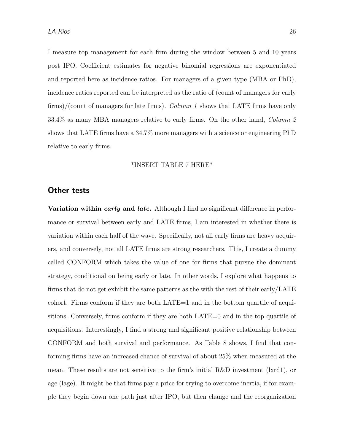I measure top management for each firm during the window between 5 and 10 years post IPO. Coefficient estimates for negative binomial regressions are exponentiated and reported here as incidence ratios. For managers of a given type (MBA or PhD), incidence ratios reported can be interpreted as the ratio of (count of managers for early firms)/(count of managers for late firms). Column 1 shows that LATE firms have only 33.4% as many MBA managers relative to early firms. On the other hand, Column 2 shows that LATE firms have a 34.7% more managers with a science or engineering PhD relative to early firms.

#### \*INSERT TABLE 7 HERE\*

#### Other tests

Variation within early and late. Although I find no significant difference in performance or survival between early and LATE firms, I am interested in whether there is variation within each half of the wave. Specifically, not all early firms are heavy acquirers, and conversely, not all LATE firms are strong researchers. This, I create a dummy called CONFORM which takes the value of one for firms that pursue the dominant strategy, conditional on being early or late. In other words, I explore what happens to firms that do not get exhibit the same patterns as the with the rest of their early/LATE cohort. Firms conform if they are both LATE=1 and in the bottom quartile of acquisitions. Conversely, firms conform if they are both LATE=0 and in the top quartile of acquisitions. Interestingly, I find a strong and significant positive relationship between CONFORM and both survival and performance. As Table 8 shows, I find that conforming firms have an increased chance of survival of about 25% when measured at the mean. These results are not sensitive to the firm's initial R&D investment (lxrd1), or age (lage). It might be that firms pay a price for trying to overcome inertia, if for example they begin down one path just after IPO, but then change and the reorganization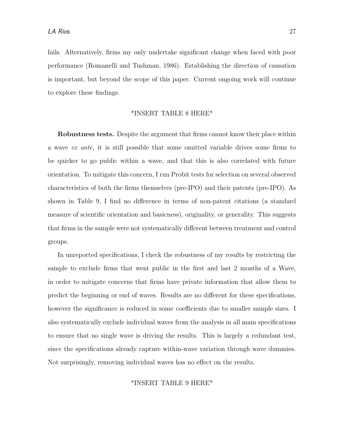fails. Alternatively, firms my only undertake significant change when faced with poor performance (Romanelli and Tushman, 1986). Establishing the direction of causation is important, but beyond the scope of this paper. Current ongoing work will continue to explore these findings.

#### \*INSERT TABLE 8 HERE\*

Robustness tests. Despite the argument that firms cannot know their place within a wave ex ante, it is still possible that some omitted variable drives some firms to be quicker to go public within a wave, and that this is also correlated with future orientation. To mitigate this concern, I run Probit tests for selection on several observed characteristics of both the firms themselves (pre-IPO) and their patents (pre-IPO). As shown in Table 9, I find no difference in terms of non-patent citations (a standard measure of scientific orientation and basicness), originality, or generality. This suggests that firms in the sample were not systematically different between treatment and control groups.

In unreported specifications, I check the robustness of my results by restricting the sample to exclude firms that went public in the first and last 2 months of a Wave, in order to mitigate concerns that firms have private information that allow them to predict the beginning or end of waves. Results are no different for these specifications, however the significance is reduced in some coefficients due to smaller sample sizes. I also systematically exclude individual waves from the analysis in all main specifications to ensure that no single wave is driving the results. This is largely a redundant test, since the specifications already capture within-wave variation through wave dummies. Not surprisingly, removing individual waves has no effect on the results.

#### \*INSERT TABLE 9 HERE\*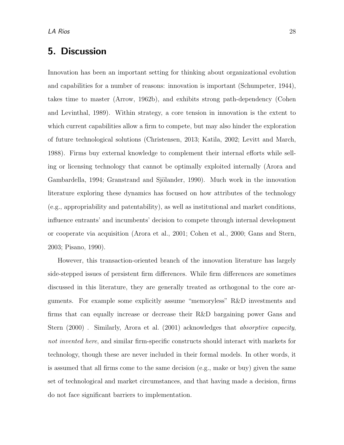### 5. Discussion

Innovation has been an important setting for thinking about organizational evolution and capabilities for a number of reasons: innovation is important (Schumpeter, 1944), takes time to master (Arrow, 1962b), and exhibits strong path-dependency (Cohen and Levinthal, 1989). Within strategy, a core tension in innovation is the extent to which current capabilities allow a firm to compete, but may also hinder the exploration of future technological solutions (Christensen, 2013; Katila, 2002; Levitt and March, 1988). Firms buy external knowledge to complement their internal efforts while selling or licensing technology that cannot be optimally exploited internally (Arora and Gambardella, 1994; Granstrand and Sjölander, 1990). Much work in the innovation literature exploring these dynamics has focused on how attributes of the technology (e.g., appropriability and patentability), as well as institutional and market conditions, influence entrants' and incumbents' decision to compete through internal development or cooperate via acquisition (Arora et al., 2001; Cohen et al., 2000; Gans and Stern, 2003; Pisano, 1990).

However, this transaction-oriented branch of the innovation literature has largely side-stepped issues of persistent firm differences. While firm differences are sometimes discussed in this literature, they are generally treated as orthogonal to the core arguments. For example some explicitly assume "memoryless" R&D investments and firms that can equally increase or decrease their R&D bargaining power Gans and Stern (2000). Similarly, Arora et al. (2001) acknowledges that *absorptive capacity*, not invented here, and similar firm-specific constructs should interact with markets for technology, though these are never included in their formal models. In other words, it is assumed that all firms come to the same decision (e.g., make or buy) given the same set of technological and market circumstances, and that having made a decision, firms do not face significant barriers to implementation.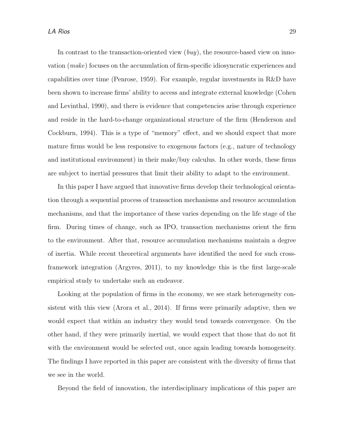In contrast to the transaction-oriented view  $(buy)$ , the resource-based view on innovation (make) focuses on the accumulation of firm-specific idiosyncratic experiences and capabilities over time (Penrose, 1959). For example, regular investments in R&D have been shown to increase firms' ability to access and integrate external knowledge (Cohen and Levinthal, 1990), and there is evidence that competencies arise through experience and reside in the hard-to-change organizational structure of the firm (Henderson and Cockburn, 1994). This is a type of "memory" effect, and we should expect that more mature firms would be less responsive to exogenous factors (e.g., nature of technology and institutional environment) in their make/buy calculus. In other words, these firms are subject to inertial pressures that limit their ability to adapt to the environment.

In this paper I have argued that innovative firms develop their technological orientation through a sequential process of transaction mechanisms and resource accumulation mechanisms, and that the importance of these varies depending on the life stage of the firm. During times of change, such as IPO, transaction mechanisms orient the firm to the environment. After that, resource accumulation mechanisms maintain a degree of inertia. While recent theoretical arguments have identified the need for such crossframework integration (Argyres, 2011), to my knowledge this is the first large-scale empirical study to undertake such an endeavor.

Looking at the population of firms in the economy, we see stark heterogeneity consistent with this view (Arora et al., 2014). If firms were primarily adaptive, then we would expect that within an industry they would tend towards convergence. On the other hand, if they were primarily inertial, we would expect that those that do not fit with the environment would be selected out, once again leading towards homogeneity. The findings I have reported in this paper are consistent with the diversity of firms that we see in the world.

Beyond the field of innovation, the interdisciplinary implications of this paper are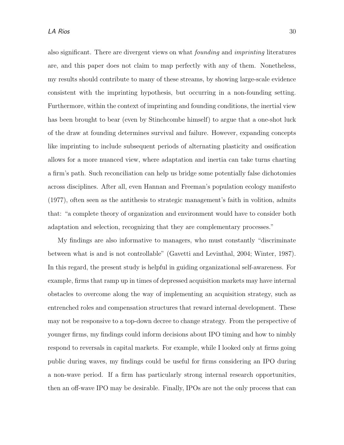also significant. There are divergent views on what founding and imprinting literatures are, and this paper does not claim to map perfectly with any of them. Nonetheless, my results should contribute to many of these streams, by showing large-scale evidence consistent with the imprinting hypothesis, but occurring in a non-founding setting. Furthermore, within the context of imprinting and founding conditions, the inertial view has been brought to bear (even by Stinchcombe himself) to argue that a one-shot luck of the draw at founding determines survival and failure. However, expanding concepts like imprinting to include subsequent periods of alternating plasticity and ossification allows for a more nuanced view, where adaptation and inertia can take turns charting a firm's path. Such reconciliation can help us bridge some potentially false dichotomies across disciplines. After all, even Hannan and Freeman's population ecology manifesto (1977), often seen as the antithesis to strategic management's faith in volition, admits that: "a complete theory of organization and environment would have to consider both adaptation and selection, recognizing that they are complementary processes."

My findings are also informative to managers, who must constantly "discriminate between what is and is not controllable" (Gavetti and Levinthal, 2004; Winter, 1987). In this regard, the present study is helpful in guiding organizational self-awareness. For example, firms that ramp up in times of depressed acquisition markets may have internal obstacles to overcome along the way of implementing an acquisition strategy, such as entrenched roles and compensation structures that reward internal development. These may not be responsive to a top-down decree to change strategy. From the perspective of younger firms, my findings could inform decisions about IPO timing and how to nimbly respond to reversals in capital markets. For example, while I looked only at firms going public during waves, my findings could be useful for firms considering an IPO during a non-wave period. If a firm has particularly strong internal research opportunities, then an off-wave IPO may be desirable. Finally, IPOs are not the only process that can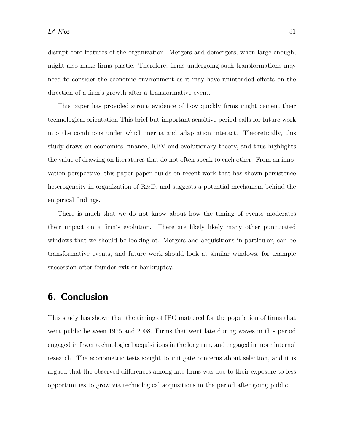disrupt core features of the organization. Mergers and demergers, when large enough, might also make firms plastic. Therefore, firms undergoing such transformations may need to consider the economic environment as it may have unintended effects on the direction of a firm's growth after a transformative event.

This paper has provided strong evidence of how quickly firms might cement their technological orientation This brief but important sensitive period calls for future work into the conditions under which inertia and adaptation interact. Theoretically, this study draws on economics, finance, RBV and evolutionary theory, and thus highlights the value of drawing on literatures that do not often speak to each other. From an innovation perspective, this paper paper builds on recent work that has shown persistence heterogeneity in organization of R&D, and suggests a potential mechanism behind the empirical findings.

There is much that we do not know about how the timing of events moderates their impact on a firm's evolution. There are likely likely many other punctuated windows that we should be looking at. Mergers and acquisitions in particular, can be transformative events, and future work should look at similar windows, for example succession after founder exit or bankruptcy.

### 6. Conclusion

This study has shown that the timing of IPO mattered for the population of firms that went public between 1975 and 2008. Firms that went late during waves in this period engaged in fewer technological acquisitions in the long run, and engaged in more internal research. The econometric tests sought to mitigate concerns about selection, and it is argued that the observed differences among late firms was due to their exposure to less opportunities to grow via technological acquisitions in the period after going public.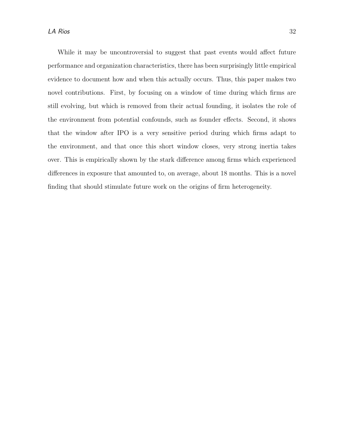While it may be uncontroversial to suggest that past events would affect future performance and organization characteristics, there has been surprisingly little empirical evidence to document how and when this actually occurs. Thus, this paper makes two novel contributions. First, by focusing on a window of time during which firms are still evolving, but which is removed from their actual founding, it isolates the role of the environment from potential confounds, such as founder effects. Second, it shows that the window after IPO is a very sensitive period during which firms adapt to the environment, and that once this short window closes, very strong inertia takes over. This is empirically shown by the stark difference among firms which experienced differences in exposure that amounted to, on average, about 18 months. This is a novel finding that should stimulate future work on the origins of firm heterogeneity.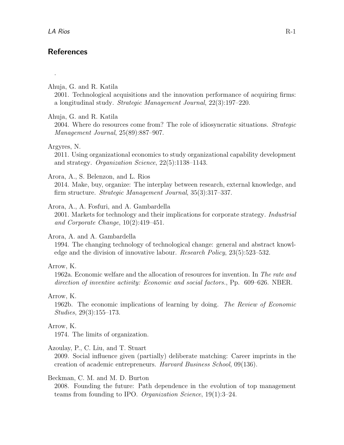.

### **References**

Ahuja, G. and R. Katila

2001. Technological acquisitions and the innovation performance of acquiring firms: a longitudinal study. Strategic Management Journal, 22(3):197–220.

#### Ahuja, G. and R. Katila

2004. Where do resources come from? The role of idiosyncratic situations. Strategic Management Journal, 25(89):887–907.

#### Argyres, N.

2011. Using organizational economics to study organizational capability development and strategy. Organization Science, 22(5):1138–1143.

#### Arora, A., S. Belenzon, and L. Rios

2014. Make, buy, organize: The interplay between research, external knowledge, and firm structure. Strategic Management Journal, 35(3):317–337.

#### Arora, A., A. Fosfuri, and A. Gambardella

2001. Markets for technology and their implications for corporate strategy. Industrial and Corporate Change, 10(2):419–451.

#### Arora, A. and A. Gambardella

1994. The changing technology of technological change: general and abstract knowledge and the division of innovative labour. Research Policy, 23(5):523–532.

#### Arrow, K.

1962a. Economic welfare and the allocation of resources for invention. In The rate and direction of inventive activity: Economic and social factors., Pp. 609–626. NBER.

Arrow, K.

1962b. The economic implications of learning by doing. The Review of Economic Studies, 29(3):155–173.

#### Arrow, K.

1974. The limits of organization.

#### Azoulay, P., C. Liu, and T. Stuart

2009. Social influence given (partially) deliberate matching: Career imprints in the creation of academic entrepreneurs. Harvard Business School, 09(136).

#### Beckman, C. M. and M. D. Burton

2008. Founding the future: Path dependence in the evolution of top management teams from founding to IPO. Organization Science, 19(1):3–24.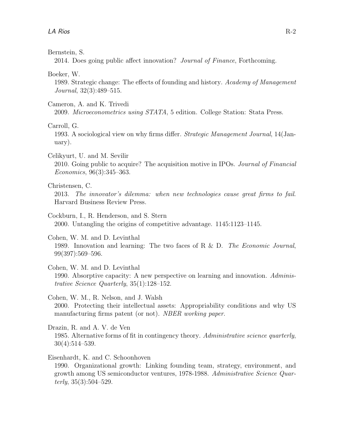Bernstein, S.

2014. Does going public affect innovation? Journal of Finance, Forthcoming.

Boeker, W.

1989. Strategic change: The effects of founding and history. Academy of Management Journal, 32(3):489–515.

Cameron, A. and K. Trivedi

2009. Microeconometrics using STATA, 5 edition. College Station: Stata Press.

Carroll, G.

1993. A sociological view on why firms differ. Strategic Management Journal, 14(January).

Celikyurt, U. and M. Sevilir

2010. Going public to acquire? The acquisition motive in IPOs. Journal of Financial Economics, 96(3):345–363.

Christensen, C.

2013. The innovator's dilemma: when new technologies cause great firms to fail. Harvard Business Review Press.

Cockburn, I., R. Henderson, and S. Stern 2000. Untangling the origins of competitive advantage. 1145:1123–1145.

Cohen, W. M. and D. Levinthal 1989. Innovation and learning: The two faces of R & D. The Economic Journal, 99(397):569–596.

Cohen, W. M. and D. Levinthal 1990. Absorptive capacity: A new perspective on learning and innovation. Administrative Science Quarterly, 35(1):128–152.

Cohen, W. M., R. Nelson, and J. Walsh 2000. Protecting their intellectual assets: Appropriability conditions and why US manufacturing firms patent (or not). NBER working paper.

Drazin, R. and A. V. de Ven 1985. Alternative forms of fit in contingency theory. Administrative science quarterly, 30(4):514–539.

Eisenhardt, K. and C. Schoonhoven

1990. Organizational growth: Linking founding team, strategy, environment, and growth among US semiconductor ventures, 1978-1988. Administrative Science Quarterly,  $35(3):504-529$ .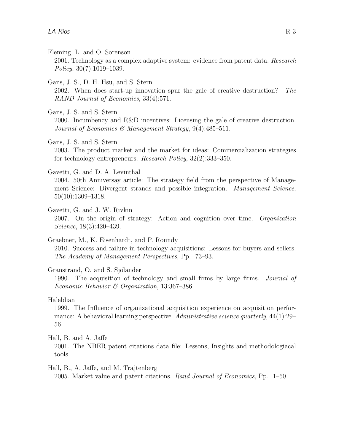Fleming, L. and O. Sorenson

2001. Technology as a complex adaptive system: evidence from patent data. Research  $Policy, 30(7):1019-1039.$ 

Gans, J. S., D. H. Hsu, and S. Stern

2002. When does start-up innovation spur the gale of creative destruction? The RAND Journal of Economics, 33(4):571.

Gans, J. S. and S. Stern

2000. Incumbency and R&D incentives: Licensing the gale of creative destruction. Journal of Economics & Management Strategy,  $9(4)$ : 485-511.

Gans, J. S. and S. Stern

2003. The product market and the market for ideas: Commercialization strategies for technology entrepreneurs. Research Policy, 32(2):333–350.

Gavetti, G. and D. A. Levinthal

2004. 50th Anniversay article: The strategy field from the perspective of Management Science: Divergent strands and possible integration. Management Science, 50(10):1309–1318.

Gavetti, G. and J. W. Rivkin 2007. On the origin of strategy: Action and cognition over time. Organization Science, 18(3):420–439.

Graebner, M., K. Eisenhardt, and P. Roundy 2010. Success and failure in technology acquisitions: Lessons for buyers and sellers. The Academy of Management Perspectives, Pp. 73–93.

#### Granstrand, O. and S. Sjölander

1990. The acquisition of technology and small firms by large firms. Journal of Economic Behavior & Organization, 13:367–386.

Haleblian

1999. The Influence of organizational acquisition experience on acquisition performance: A behavioral learning perspective. Administrative science quarterly, 44(1):29– 56.

Hall, B. and A. Jaffe

2001. The NBER patent citations data file: Lessons, Insights and methodologiacal tools.

Hall, B., A. Jaffe, and M. Trajtenberg

2005. Market value and patent citations. Rand Journal of Economics, Pp. 1–50.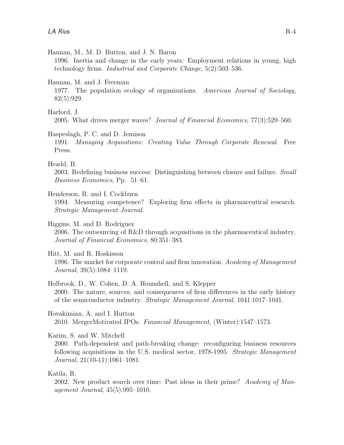Hannan, M., M. D. Burton, and J. N. Baron

1996. Inertia and change in the early years: Employment relations in young, high technology firms. Industrial and Corporate Change, 5(2):503–536.

Hannan, M. and J. Freeman

1977. The population ecology of organizations. American Journal of Sociology, 82(5):929.

Harford, J.

2005. What drives merger waves? Journal of Financial Economics, 77(3):529–560.

#### Haspeslagh, P. C. and D. Jemison

1991. Managing Acquisitions: Creating Value Through Corporate Renewal. Free Press.

Headd, B.

2003. Redefining business success: Distinguishing between closure and failure. *Small* Business Economics, Pp. 51–61.

Henderson, R. and I. Cockburn

1994. Measuring competence? Exploring firm effects in pharmaceutical research. Strategic Management Journal.

Higgins, M. and D. Rodriguez

2006. The outsourcing of R&D through acquisitions in the pharmaceutical industry. Journal of Financial Economics, 80:351–383.

Hitt, M. and R. Hoskisson

1996. The market for corporate control and firm innovation. Academy of Management Journal, 39(5):1084–1119.

Holbrook, D., W. Cohen, D. A. Hounshell, and S. Klepper 2000. The nature, sources, and consequences of firm differences in the early history of the semiconductor industry. Strategic Management Journal, 1041:1017–1041.

Hovakimian, A. and I. Hutton 2010. MergerMotivated IPOs. Financial Management, (Winter):1547–1573.

Karim, S. and W. Mitchell

2000. Path-dependent and path-breaking change: reconfiguring business resources following acquisitions in the U.S. medical sector, 1978-1995. Strategic Management Journal, 21(10-11):1061–1081.

Katila, R.

2002. New product search over time: Past ideas in their prime? Academy of Management Journal, 45(5):995–1010.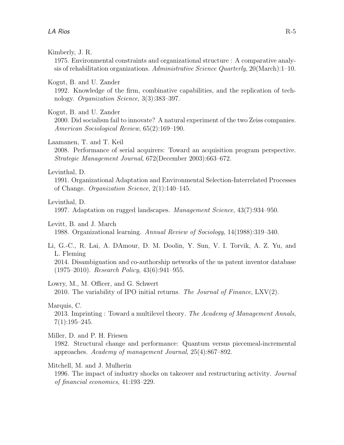#### Kimberly, J. R.

1975. Environmental constraints and organizational structure : A comparative analysis of rehabilitation organizations. Administrative Science Quarterly,  $20(March):1-10$ .

#### Kogut, B. and U. Zander

1992. Knowledge of the firm, combinative capabilities, and the replication of technology. Organization Science, 3(3):383–397.

#### Kogut, B. and U. Zander

2000. Did socialism fail to innovate? A natural experiment of the two Zeiss companies. American Sociological Review, 65(2):169–190.

#### Laamanen, T. and T. Keil

2008. Performance of serial acquirers: Toward an acquisition program perspective. Strategic Management Journal, 672(December 2003):663–672.

#### Levinthal, D.

1991. Organizational Adaptation and Environmental Selection-Interrelated Processes of Change. Organization Science, 2(1):140–145.

#### Levinthal, D.

1997. Adaptation on rugged landscapes. Management Science, 43(7):934–950.

#### Levitt, B. and J. March

1988. Organizational learning. Annual Review of Sociology, 14(1988):319–340.

#### Li, G.-C., R. Lai, A. DAmour, D. M. Doolin, Y. Sun, V. I. Torvik, A. Z. Yu, and L. Fleming

2014. Disambiguation and co-authorship networks of the us patent inventor database (1975–2010). Research Policy, 43(6):941–955.

#### Lowry, M., M. Officer, and G. Schwert

2010. The variability of IPO initial returns. The Journal of Finance,  $LXV(2)$ .

#### Marquis, C.

2013. Imprinting : Toward a multilevel theory. The Academy of Management Annals,  $7(1):195-245.$ 

#### Miller, D. and P. H. Friesen

1982. Structural change and performance: Quantum versus piecemeal-incremental approaches. Academy of management Journal, 25(4):867–892.

#### Mitchell, M. and J. Mulherin

1996. The impact of industry shocks on takeover and restructuring activity. *Journal* of financial economics, 41:193–229.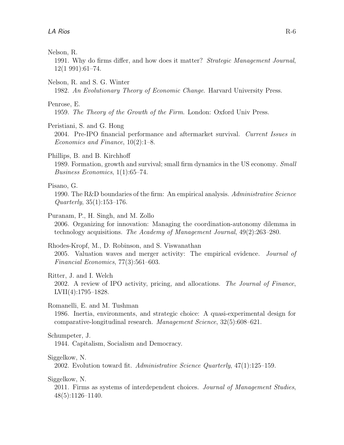#### Nelson, R.

1991. Why do firms differ, and how does it matter? Strategic Management Journal, 12(1 991):61–74.

#### Nelson, R. and S. G. Winter

1982. An Evolutionary Theory of Economic Change. Harvard University Press.

#### Penrose, E.

1959. The Theory of the Growth of the Firm. London: Oxford Univ Press.

Peristiani, S. and G. Hong

2004. Pre-IPO financial performance and aftermarket survival. Current Issues in Economics and Finance, 10(2):1–8.

#### Phillips, B. and B. Kirchhoff

1989. Formation, growth and survival; small firm dynamics in the US economy. Small Business Economics, 1(1):65–74.

#### Pisano, G.

1990. The R&D boundaries of the firm: An empirical analysis. Administrative Science  $Quarterly, 35(1):153-176.$ 

#### Puranam, P., H. Singh, and M. Zollo

2006. Organizing for innovation: Managing the coordination-autonomy dilemma in technology acquisitions. The Academy of Management Journal, 49(2):263–280.

#### Rhodes-Kropf, M., D. Robinson, and S. Viswanathan

2005. Valuation waves and merger activity: The empirical evidence. Journal of Financial Economics, 77(3):561–603.

#### Ritter, J. and I. Welch

2002. A review of IPO activity, pricing, and allocations. The Journal of Finance, LVII(4):1795–1828.

Romanelli, E. and M. Tushman

1986. Inertia, environments, and strategic choice: A quasi-experimental design for comparative-longitudinal research. Management Science, 32(5):608–621.

#### Schumpeter, J.

1944. Capitalism, Socialism and Democracy.

#### Siggelkow, N.

2002. Evolution toward fit. Administrative Science Quarterly, 47(1):125–159.

Siggelkow, N.

2011. Firms as systems of interdependent choices. Journal of Management Studies, 48(5):1126–1140.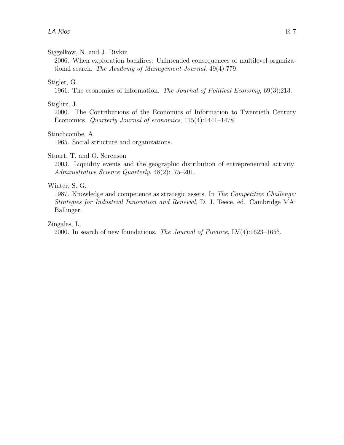#### Siggelkow, N. and J. Rivkin

2006. When exploration backfires: Unintended consequences of multilevel organizational search. The Academy of Management Journal, 49(4):779.

#### Stigler, G.

1961. The economics of information. The Journal of Political Economy, 69(3):213.

#### Stiglitz, J.

2000. The Contributions of the Economics of Information to Twentieth Century Economics. Quarterly Journal of economics, 115(4):1441–1478.

#### Stinchcombe, A.

1965. Social structure and organizations.

#### Stuart, T. and O. Sorenson

2003. Liquidity events and the geographic distribution of entrepreneurial activity. Administrative Science Quarterly, 48(2):175–201.

#### Winter, S. G.

1987. Knowledge and competence as strategic assets. In The Competitive Challenge: Strategies for Industrial Innovation and Renewal, D. J. Teece, ed. Cambridge MA: Ballinger.

Zingales, L.

2000. In search of new foundations. The Journal of Finance, LV(4):1623–1653.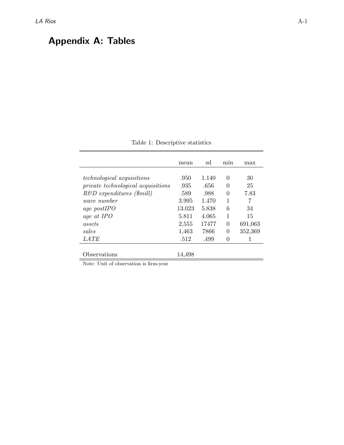## Appendix A: Tables

|                                           | mean   | sd    | min      | max     |
|-------------------------------------------|--------|-------|----------|---------|
|                                           |        |       |          |         |
| <i>technological acquisitions</i>         | .950   | 1.140 | 0        | 30      |
| <i>private technological acquisitions</i> | .935   | .656  | 0        | 25      |
| $R\&D$ expenditures (\$mill)              | .589   | .988  | $\Omega$ | 7.83    |
| <i>wave number</i>                        | 3.995  | 1.470 | 1        | 7       |
| age postIPO                               | 13.023 | 5.838 | 6        | 34      |
| age at IPO                                | 5.811  | 4.065 | 1        | 15      |
| assets                                    | 2,555  | 17477 | $\theta$ | 691,063 |
| sales                                     | 1,463  | 7866  | $\theta$ | 352,369 |
| LATE                                      | .512   | .499  | $\theta$ | 1       |
|                                           |        |       |          |         |
| Observations                              | 14,498 |       |          |         |
|                                           |        |       |          |         |

Table 1: Descriptive statistics

Note: Unit of observation is firm-year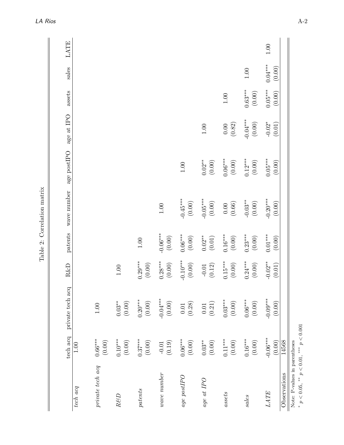|                                                                                 | tech acq                       | private tech acq                            | R&D                              | patents                | wave number            | age post<br>IPO $\,$  | age at IPO             | assets                | sales               | LATE |
|---------------------------------------------------------------------------------|--------------------------------|---------------------------------------------|----------------------------------|------------------------|------------------------|-----------------------|------------------------|-----------------------|---------------------|------|
| tech acq                                                                        | 1.00                           |                                             |                                  |                        |                        |                       |                        |                       |                     |      |
| private tech acq                                                                | $0.66***$<br>$(0.00)$          | $1.00\,$                                    |                                  |                        |                        |                       |                        |                       |                     |      |
| $R\mathcal{B}D$                                                                 | $0.10^{***}$<br>$(0.00)$       | $0.03^{**}$<br>$(0.00)$                     | $1.00\,$                         |                        |                        |                       |                        |                       |                     |      |
| patterns                                                                        | $0.37***$<br>$(0.00)$          | $0.20***$<br>$(0.00)$                       | $0.29***$<br>$(0.00)$            | $1.00\,$               |                        |                       |                        |                       |                     |      |
| wave number                                                                     | $\left(0.19\right)$<br>$-0.01$ | $-0.04***$<br>$(0.00)$                      | $0.28***$<br>$\left(0.00\right)$ | $-0.06***$<br>$(0.00)$ | $1.00\,$               |                       |                        |                       |                     |      |
| $age$ $postPO$                                                                  | $0.06***$<br>$(0.00)$          | $(0.28)$<br>$0.01\,$                        | $-0.10***$<br>(0.00)             | $0.06***$<br>$(0.00)$  | $-0.45***$<br>$(0.00)$ | $1.00\,$              |                        |                       |                     |      |
| $age\ at\ IPO$                                                                  | $(0.00)$<br>$0.03^{**}$        | $\begin{array}{c} 0.01 \\ 0.21 \end{array}$ | $-0.01$<br>(0.12)                | $0.02***$<br>$(0.01)$  | $-0.05***$<br>$(0.00)$ | $0.02**$<br>$(0.00)$  | $1.00\,$               |                       |                     |      |
| assets                                                                          | $0.11***$<br>$(0.00)$          | $0.03***$<br>$(0.00)$                       | $0.15***$<br>$(0.00)$            | $0.16***$<br>$(0.00)$  | $0.00\atop(0.66)$      | $0.06***$<br>$(0.00)$ | (0.82)                 | $1.00\,$              |                     |      |
| sales                                                                           | $0.16^{***}\,$<br>$(0.00)$     | $0.06***$<br>$(0.00)$                       | $0.24***$<br>$(0.00)$            | $0.23***$<br>$(0.00)$  | $-0.03**$<br>$(0.00)$  | $0.12***$<br>$(0.00)$ | $-0.04***$<br>$(0.00)$ | $0.63***$<br>$(0.00)$ | $1.00\,$            |      |
| LATE                                                                            | $-0.06***$<br>(0.00)           | $-0.09***$<br>$(0.00)$                      | $-0.02**$<br>(0.01)              | $0.01***$<br>$(0.00)$  | $-0.20***$<br>$(0.00)$ | $0.05***$<br>(0.00)   | $-0.02*$<br>(0.01)     | $0.05***$<br>(0.00)   | $0.04***$<br>(0.00) | 1.00 |
| Observations                                                                    | 14568                          |                                             |                                  |                        |                        |                       |                        |                       |                     |      |
| * $p < 0.05$ , ** $p < 0.01$ , *** $p < 0.001$<br>Note: P-values in parentheses |                                |                                             |                                  |                        |                        |                       |                        |                       |                     |      |

Table 2: Correlation matrix Table 2: Correlation matrix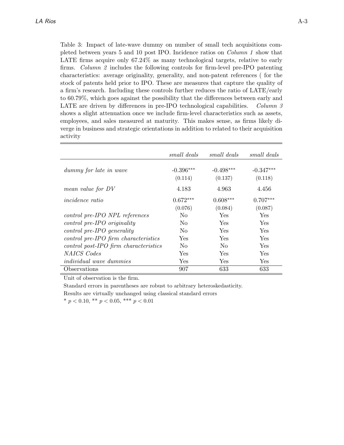Table 3: Impact of late-wave dummy on number of small tech acquisitions completed between years 5 and 10 post IPO. Incidence ratios on Column 1 show that LATE firms acquire only 67.24% as many technological targets, relative to early firms. Column 2 includes the following controls for firm-level pre-IPO patenting characteristics: average originality, generality, and non-patent references ( for the stock of patents held prior to IPO. These are measures that capture the quality of a firm's research. Including these controls further reduces the ratio of LATE/early to 60.79%, which goes against the possibility that the differences between early and LATE are driven by differences in pre-IPO technological capabilities. Column  $\beta$ shows a slight attenuation once we include firm-level characteristics such as assets, employees, and sales measured at maturity. This makes sense, as firms likely diverge in business and strategic orientations in addition to related to their acquisition activity

|                                       | small deals            | small deals            | small deals            |
|---------------------------------------|------------------------|------------------------|------------------------|
| dummy for late in wave                | $-0.396***$<br>(0.114) | $-0.498***$<br>(0.137) | $-0.347***$<br>(0.118) |
| mean value for DV                     | 4.183                  | 4.963                  | 4.456                  |
| <i>incidence</i> ratio                | $0.672***$<br>(0.076)  | $0.608***$<br>(0.084)  | $0.707***$<br>(0.087)  |
| control pre-IPO NPL references        | No.                    | Yes                    | Yes                    |
| $control\ pre-IPO\ originality$       | No.                    | <b>Yes</b>             | <b>Yes</b>             |
| $control\ pre-IPO\ generality$        | No.                    | <b>Yes</b>             | Yes                    |
| control pre-IPO firm characteristics  | <b>Yes</b>             | <b>Yes</b>             | Yes                    |
| control post-IPO firm characteristics | N <sub>0</sub>         | N <sub>0</sub>         | Yes                    |
| NAICS Codes                           | Yes                    | <b>Yes</b>             | Yes                    |
| <i>individual wave dummies</i>        | Yes.                   | Yes                    | Yes                    |
| Observations                          | 907                    | 633                    | 633                    |

Unit of observation is the firm.

Standard errors in parentheses are robust to arbitrary heteroskedasticity. Results are virtually unchanged using classical standard errors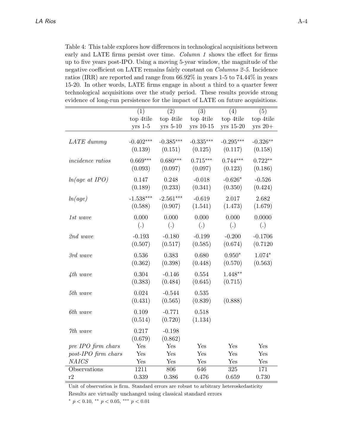Table 4: This table explores how differences in technological acquisitions between early and LATE firms persist over time. Column 1 shows the effect for firms up to five years post-IPO. Using a moving 5-year window, the magnitude of the negative coefficient on LATE remains fairly constant on Columns 2-5. Incidence ratios (IRR) are reported and range from 66.92% in years 1-5 to 74.44% in years 15-20. In other words, LATE firms engage in about a third to a quarter fewer technological acquisitions over the study period. These results provide strong evidence of long-run persistence for the impact of LATE on future acquisitions.

|                         | (1)                        | (2)                        | (3)                    | (4)                        | (5)                   |
|-------------------------|----------------------------|----------------------------|------------------------|----------------------------|-----------------------|
|                         | top 4tile                  | top 4tile                  | top 4tile              | top 4tile                  | top 4tile             |
|                         | $yrs$ 1-5                  | $yrs$ 5-10                 | yrs 10-15              | yrs 15-20                  | $yrs 20+$             |
| LATE dummy              | $-0.402***$<br>(0.139)     | $-0.385***$<br>(0.151)     | $-0.335***$<br>(0.125) | $-0.295***$<br>(0.117)     | $-0.326**$<br>(0.158) |
| <i>incidence</i> ratios | $0.669***$<br>(0.093)      | $0.680***$<br>(0.097)      | $0.715***$<br>(0.097)  | $0.744***$<br>(0.123)      | $0.722**$<br>(0.186)  |
| $ln(age\ at\ IPO)$      | 0.147<br>(0.189)           | 0.248<br>(0.233)           | $-0.018$<br>(0.341)    | $-0.626*$<br>(0.350)       | $-0.526$<br>(0.424)   |
| ln(age)                 | $-1.538***$<br>(0.588)     | $-2.561***$<br>(0.907)     | $-0.619$<br>(1.541)    | 2.017<br>(1.473)           | 2.682<br>(1.679)      |
| $1st\ wave$             | 0.000<br>$\left( .\right)$ | 0.000<br>$\left( .\right)$ | 0.000<br>(.)           | 0.000<br>$\left( .\right)$ | 0.0000<br>(.)         |
| 2nd wave                | $-0.193$<br>(0.507)        | $-0.180$<br>(0.517)        | $-0.199$<br>(0.585)    | $-0.200$<br>(0.674)        | $-0.1706$<br>(0.7120) |
| 3rd wave                | 0.536<br>(0.362)           | 0.383<br>(0.398)           | 0.680<br>(0.448)       | $0.950*$<br>(0.570)        | $1.074*$<br>(0.563)   |
| $4th$ wave              | 0.304<br>(0.383)           | $-0.146$<br>(0.484)        | 0.554<br>(0.645)       | $1.448**$<br>(0.715)       |                       |
| 5th wave                | 0.024<br>(0.431)           | $-0.544$<br>(0.565)        | 0.535<br>(0.839)       | (0.888)                    |                       |
| 6th wave                | 0.109<br>(0.514)           | $-0.771$<br>(0.720)        | 0.518<br>(1.134)       |                            |                       |
| 7th wave                | 0.217<br>(0.679)           | $-0.198$<br>(0.862)        |                        |                            |                       |
| pre IPO firm chars      | Yes                        | Yes                        | Yes                    | Yes                        | Yes                   |
| post-IPO firm chars     | Yes                        | Yes                        | Yes                    | Yes                        | Yes                   |
| <b>NAICS</b>            | Yes                        | Yes                        | Yes                    | Yes                        | Yes                   |
| Observations            | 1211                       | 806                        | 646                    | $\overline{325}$           | 171                   |
| r2                      | 0.339                      | 0.386                      | 0.476                  | 0.659                      | 0.730                 |

Unit of observation is firm. Standard errors are robust to arbitrary heteroskedasticity

Results are virtually unchanged using classical standard errors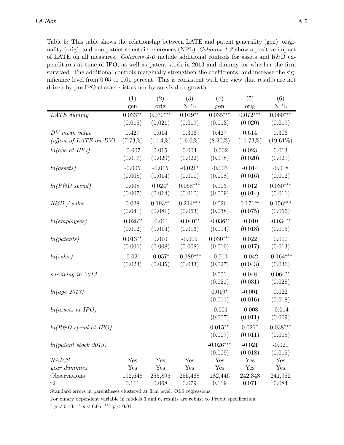Table 5: This table shows the relationship between LATE and patent generality (gen), originality (orig), and non-patent scientific references (NPL). Columns 1-3 show a positive impact of LATE on all measures. Columns  $4-6$  include additional controls for assets and R&D expenditures at time of IPO, as well as patent stock in 2013 and dummy for whether the firm survived. The additional controls marginally strengthen the coefficients, and increase the significance level from 0.05 to 0.01 percent. This is consistent with the view that results are not driven by pre-IPO characteristics nor by survival or growth.

|                                  | (1)        | (2)        | (3)         | (4)         | (5)         | (6)         |
|----------------------------------|------------|------------|-------------|-------------|-------------|-------------|
|                                  | gen        | orig       | <b>NPL</b>  | gen         | orig        | <b>NPL</b>  |
| LATE dummy                       | $0.033***$ | $0.070***$ | $0.049**$   | $0.035***$  | $0.072***$  | $0.060***$  |
|                                  | (0.015)    | (0.021)    | (0.019)     | (0.013)     | (0.020)     | (0.019)     |
| DV mean value                    | 0.427      | 0.614      | $0.306\,$   | 0.427       | 0.614       | 0.306       |
| (effect of LATE on $DV$ )        | (7.73%)    | $(11.4\%)$ | $(16.0\%)$  | $(8.20\%)$  | $(11.73\%)$ | $(19.61\%)$ |
| $ln(age\ at\ IPO)$               | $-0.007$   | 0.015      | 0.004       | $-0.002$    | 0.023       | 0.013       |
|                                  | (0.017)    | (0.020)    | (0.022)     | (0.018)     | (0.020)     | (0.021)     |
| ln (as sets)                     | $-0.005$   | $-0.015$   | $-0.021*$   | $-0.003$    | $-0.014$    | $-0.018$    |
|                                  | (0.008)    | (0.014)    | (0.011)     | (0.008)     | (0.016)     | (0.012)     |
| $ln(RED \; spend)$               | 0.008      | $0.024*$   | $0.058***$  | 0.003       | 0.012       | $0.030***$  |
|                                  | (0.007)    | (0.014)    | (0.010)     | (0.009)     | (0.014)     | (0.011)     |
| $R\&D$ / sales                   | 0.028      | $0.193**$  | $0.214***$  | 0.026       | $0.171**$   | $0.156***$  |
|                                  | (0.041)    | (0.081)    | (0.063)     | (0.038)     | (0.075)     | (0.056)     |
| ln(em ployees)                   | $-0.028**$ | $-0.011$   | $-0.040**$  | $-0.036**$  | $-0.010$    | $-0.034**$  |
|                                  | (0.012)    | (0.014)    | (0.016)     | (0.014)     | (0.018)     | (0.015)     |
| ln(patents)                      | $0.013**$  | 0.010      | $-0.009$    | $0.030***$  | 0.022       | 0.000       |
|                                  | (0.006)    | (0.008)    | (0.008)     | (0.010)     | (0.017)     | (0.013)     |
| ln(sales)                        | $-0.021$   | $-0.057*$  | $-0.189***$ | $-0.011$    | $-0.042$    | $-0.164***$ |
|                                  | (0.023)    | (0.035)    | (0.033)     | (0.027)     | (0.043)     | (0.036)     |
| surviving in 2013                |            |            |             | 0.001       | 0.048       | $0.064**$   |
|                                  |            |            |             | (0.021)     | (0.031)     | (0.028)     |
| ln(age 2013)                     |            |            |             | $0.019*$    | $-0.001$    | 0.022       |
|                                  |            |            |             | (0.011)     | (0.016)     | (0.018)     |
| $ln(assets \text{ at } IPO)$     |            |            |             | $-0.001$    | $-0.008$    | $-0.014$    |
|                                  |            |            |             | (0.007)     | (0.011)     | (0.009)     |
| $ln(RESD \; spend \; at \; IPO)$ |            |            |             | $0.015**$   | $0.021*$    | $0.038***$  |
|                                  |            |            |             | (0.007)     | (0.011)     | (0.008)     |
| ln(patent stock 2013)            |            |            |             | $-0.026***$ | $-0.021$    | $-0.021$    |
|                                  |            |            |             | (0.009)     | (0.018)     | (0.015)     |
| <b>NAICS</b>                     | Yes        | Yes        | Yes         | Yes         | Yes         | Yes         |
| year dummies                     | Yes        | Yes        | Yes         | Yes         | Yes         | Yes         |
| Observations                     | 192,648    | 255,895    | 255,468     | 182,446     | 242,348     | 241,952     |
| r2                               | 0.111      | 0.068      | 0.079       | 0.119       | 0.071       | 0.084       |

Standard errors in parentheses clustered at firm level. OLS regressions.

For binary dependent variable in models 3 and 6, results are robust to Probit specification.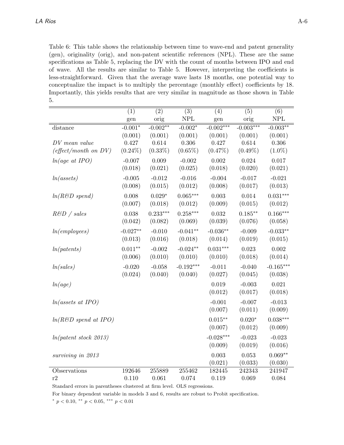Table 6: This table shows the relationship between time to wave-end and patent generality (gen), originality (orig), and non-patent scientific references (NPL). These are the same specifications as Table 5, replacing the DV with the count of months between IPO and end of wave. All the results are similar to Table 5. However, interpreting the coefficients is less-straightforward. Given that the average wave lasts 18 months, one potential way to conceptualize the impact is to multiply the percentage (monthly effect) coefficients by 18. Importantly, this yields results that are very similar in magnitude as those shown in Table 5.

|                                  | (1)                  | (2)        | (3)                       | (4)         | (5)         | (6)         |
|----------------------------------|----------------------|------------|---------------------------|-------------|-------------|-------------|
|                                  | $\operatorname{gen}$ | orig       | $\ensuremath{\text{NPL}}$ | gen         | orig        | <b>NPL</b>  |
| distance                         | $-0.001*$            | $-0.002**$ | $-0.002*$                 | $-0.002***$ | $-0.003***$ | $-0.003**$  |
|                                  | (0.001)              | (0.001)    | (0.001)                   | (0.001)     | (0.001)     | (0.001)     |
| DV mean value                    | 0.427                | 0.614      | 0.306                     | 0.427       | 0.614       | 0.306       |
| $(effect/month \text{ on } DV)$  | $(0.24\%)$           | $(0.33\%)$ | $(0.65\%)$                | $(0.47\%)$  | $(0.49\%)$  | $(1.0\%)$   |
| $ln(age \; at \; IPO)$           | $-0.007$             | 0.009      | $-0.002$                  | 0.002       | 0.024       | 0.017       |
|                                  | (0.018)              | (0.021)    | (0.025)                   | (0.018)     | (0.020)     | (0.021)     |
| ln (as sets)                     | $-0.005$             | $-0.012$   | $-0.016$                  | $-0.004$    | $-0.017$    | $-0.021$    |
|                                  | (0.008)              | (0.015)    | (0.012)                   | (0.008)     | (0.017)     | (0.013)     |
| $ln(RED \; spend)$               | 0.008                | $0.029*$   | $0.065***$                | 0.003       | 0.014       | $0.031***$  |
|                                  | (0.007)              | (0.018)    | (0.012)                   | (0.009)     | (0.015)     | (0.012)     |
| $R\&D$ / sales                   | 0.038                | $0.233***$ | $0.258***$                | 0.032       | $0.185***$  | $0.166***$  |
|                                  | (0.042)              | (0.082)    | (0.069)                   | (0.039)     | (0.076)     | (0.058)     |
| ln(em ployees)                   | $-0.027**$           | $-0.010$   | $-0.041**$                | $-0.036**$  | $-0.009$    | $-0.033**$  |
|                                  | (0.013)              | (0.016)    | (0.018)                   | (0.014)     | (0.019)     | (0.015)     |
|                                  | $0.011**$            | $-0.002$   | $-0.024**$                | $0.031***$  | 0.023       | 0.002       |
| ln(patents)                      | (0.006)              | (0.010)    | (0.010)                   | (0.010)     | (0.018)     | (0.014)     |
|                                  |                      |            |                           |             |             |             |
| ln(sales)                        | $-0.020$             | $-0.058$   | $-0.192***$               | $-0.011$    | $-0.040$    | $-0.165***$ |
|                                  | (0.024)              | (0.040)    | (0.040)                   | (0.027)     | (0.045)     | (0.038)     |
| ln(age)                          |                      |            |                           | 0.019       | $-0.003$    | 0.021       |
|                                  |                      |            |                           | (0.012)     | (0.017)     | (0.018)     |
| $ln(assets \text{ at } IPO)$     |                      |            |                           | $-0.001$    | $-0.007$    | $-0.013$    |
|                                  |                      |            |                           | (0.007)     | (0.011)     | (0.009)     |
| $ln(RESD \; spend \; at \; IPO)$ |                      |            |                           | $0.015**$   | $0.020*$    | $0.038***$  |
|                                  |                      |            |                           | (0.007)     | (0.012)     | (0.009)     |
| ln(patent stock 2013)            |                      |            |                           | $-0.028***$ | $-0.023$    | $-0.023$    |
|                                  |                      |            |                           | (0.009)     | (0.019)     | (0.016)     |
| surviving in 2013                |                      |            |                           | 0.003       | 0.053       | $0.069**$   |
|                                  |                      |            |                           | (0.021)     | (0.033)     | (0.030)     |
| Observations                     | 192646               | 255889     | 255462                    | 182445      | 242343      | 241947      |
| r2                               | 0.110                | 0.061      | 0.074                     | 0.119       | 0.069       | 0.084       |

Standard errors in parentheses clustered at firm level. OLS regressions.

For binary dependent variable in models 3 and 6, results are robust to Probit specification.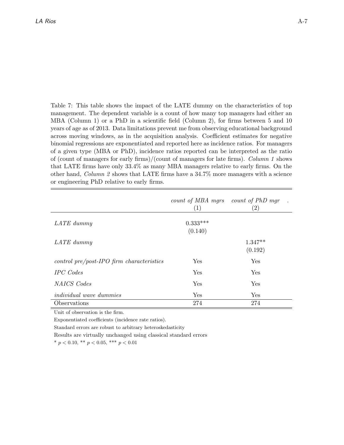Table 7: This table shows the impact of the LATE dummy on the characteristics of top management. The dependent variable is a count of how many top managers had either an MBA (Column 1) or a PhD in a scientific field (Column 2), for firms between 5 and 10 years of age as of 2013. Data limitations prevent me from observing educational background across moving windows, as in the acquisition analysis. Coefficient estimates for negative binomial regressions are exponentiated and reported here as incidence ratios. For managers of a given type (MBA or PhD), incidence ratios reported can be interpreted as the ratio of (count of managers for early firms)/(count of managers for late firms). Column 1 shows that LATE firms have only 33.4% as many MBA managers relative to early firms. On the other hand, *Column 2* shows that LATE firms have a  $34.7\%$  more managers with a science or engineering PhD relative to early firms.

|                                                | count of MBA mars count of PhD mar<br>(1) | $\left( 2\right)$    |
|------------------------------------------------|-------------------------------------------|----------------------|
| LATE dummy                                     | $0.333***$<br>(0.140)                     |                      |
| LATE dummy                                     |                                           | $1.347**$<br>(0.192) |
| $control\ pre/post-IPO\ firm\ characteristics$ | Yes                                       | Yes                  |
| <b>IPC</b> Codes                               | Yes                                       | Yes                  |
| NAICS Codes                                    | Yes                                       | Yes                  |
| <i>individual</i> wave dummies                 | Yes                                       | Yes                  |
| Observations                                   | 274                                       | 274                  |

Unit of observation is the firm.

Exponentiated coefficients (incidence rate ratios).

Standard errors are robust to arbitrary heteroskedasticity

Results are virtually unchanged using classical standard errors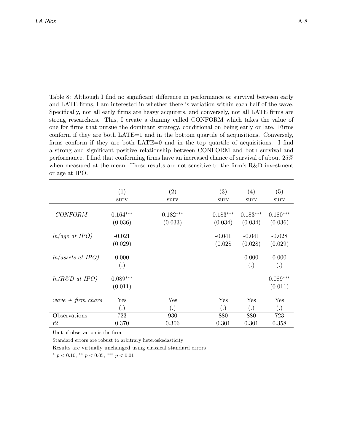Table 8: Although I find no significant difference in performance or survival between early and LATE firms, I am interested in whether there is variation within each half of the wave. Specifically, not all early firms are heavy acquirers, and conversely, not all LATE firms are strong researchers. This, I create a dummy called CONFORM which takes the value of one for firms that pursue the dominant strategy, conditional on being early or late. Firms conform if they are both LATE=1 and in the bottom quartile of acquisitions. Conversely, firms conform if they are both LATE=0 and in the top quartile of acquisitions. I find a strong and significant positive relationship between CONFORM and both survival and performance. I find that conforming firms have an increased chance of survival of about 25% when measured at the mean. These results are not sensitive to the firm's R&D investment or age at IPO.

|                              | (1)                   | (2)        | (3)                 | (4)                 | (5)                   |
|------------------------------|-----------------------|------------|---------------------|---------------------|-----------------------|
|                              | surv                  | surv       | surv                | surv                | surv                  |
| <b>CONFORM</b>               | $0.164***$            | $0.182***$ | $0.183***$          | $0.183***$          | $0.180***$            |
|                              | (0.036)               | (0.033)    | (0.034)             | (0.034)             | (0.036)               |
| $ln(age \text{ at } IPO)$    | $-0.021$<br>(0.029)   |            | $-0.041$<br>(0.028) | $-0.041$<br>(0.028) | $-0.028$<br>(0.029)   |
| $ln(assets \text{ at } IPO)$ | 0.000<br>(.)          |            |                     | 0.000<br>(.)        | 0.000<br>(.)          |
| $ln(RESD$ at IPO)            | $0.089***$<br>(0.011) |            |                     |                     | $0.089***$<br>(0.011) |
| wave $+$ firm chars          | $_{\rm Yes}$          | Yes        | Yes                 | Yes                 | Yes                   |
|                              | (.)                   | (.)        | (.)                 | (.)                 | (.)                   |
| Observations                 | 723                   | 930        | 880                 | 880                 | 723                   |
| r2                           | 0.370                 | 0.306      | 0.301               | 0.301               | 0.358                 |

Unit of observation is the firm.

Standard errors are robust to arbitrary heteroskedasticity

Results are virtually unchanged using classical standard errors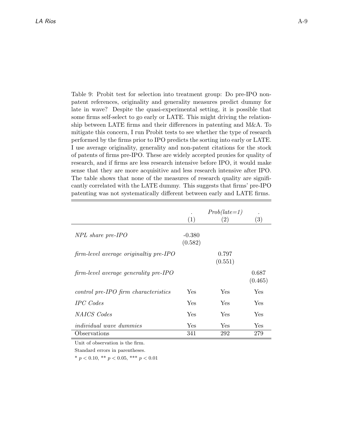Table 9: Probit test for selection into treatment group: Do pre-IPO nonpatent references, originality and generality measures predict dummy for late in wave? Despite the quasi-experimental setting, it is possible that some firms self-select to go early or LATE. This might driving the relationship between LATE firms and their differences in patenting and M&A. To mitigate this concern, I run Probit tests to see whether the type of research performed by the firms prior to IPO predicts the sorting into early or LATE. I use average originality, generality and non-patent citations for the stock of patents of firms pre-IPO. These are widely accepted proxies for quality of research, and if firms are less research intensive before IPO, it would make sense that they are more acquisitive and less research intensive after IPO. The table shows that none of the measures of research quality are significantly correlated with the LATE dummy. This suggests that firms' pre-IPO patenting was not systematically different between early and LATE firms.

|                                        | (1)                 | $Prob(late=1)$<br>$\left( 2\right)$ | (3)              |
|----------------------------------------|---------------------|-------------------------------------|------------------|
| NPL share pre-IPO                      | $-0.380$<br>(0.582) |                                     |                  |
| firm-level average originaltiy pre-IPO |                     | 0.797<br>(0.551)                    |                  |
| firm-level average generality pre-IPO  |                     |                                     | 0.687<br>(0.465) |
| control pre-IPO firm characteristics   | Yes                 | <b>Yes</b>                          | Yes              |
| <b>IPC</b> Codes                       | Yes                 | Yes                                 | Yes              |
| <b>NAICS</b> Codes                     | Yes                 | Yes                                 | Yes              |
| <i>individual</i> wave <i>dummies</i>  | Yes                 | Yes                                 | Yes              |
| Observations                           | 341                 | 292                                 | 279              |

Unit of observation is the firm.

Standard errors in parentheses.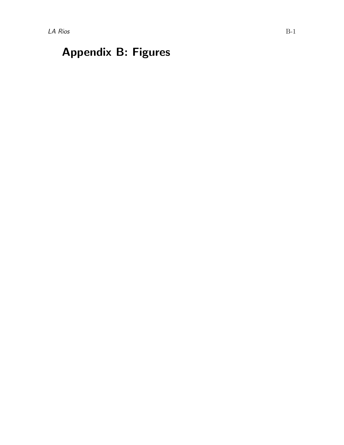# Appendix B: Figures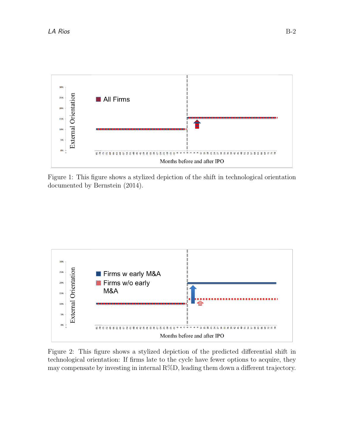

Figure 1: This figure shows a stylized depiction of the shift in technological orientation documented by Bernstein (2014).



Figure 2: This figure shows a stylized depiction of the predicted differential shift in technological orientation: If firms late to the cycle have fewer options to acquire, they may compensate by investing in internal  $R\%D$ , leading them down a different trajectory.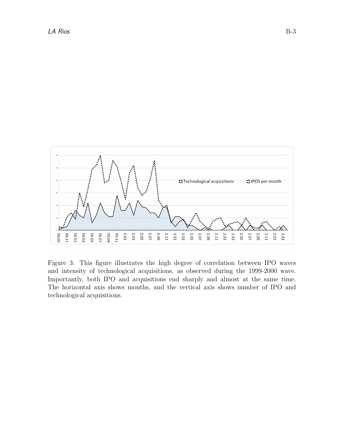

Figure 3: This figure illustrates the high degree of correlation between IPO waves and intensity of technological acquisitions, as observed during the 1999-2000 wave. Importantly, both IPO and acquisitions end sharply and almost at the same time. The horizontal axis shows months, and the vertical axis shows number of IPO and technological acquisitions.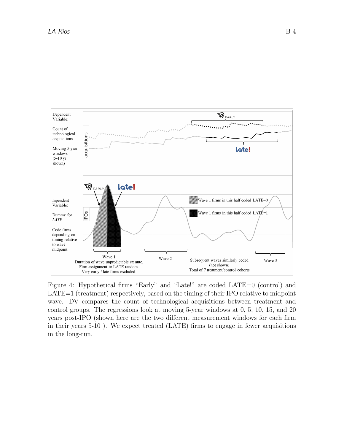

Figure 4: Hypothetical firms "Early" and "Late!" are coded LATE=0 (control) and LATE=1 (treatment) respectively, based on the timing of their IPO relative to midpoint wave. DV compares the count of technological acquisitions between treatment and control groups. The regressions look at moving 5-year windows at 0, 5, 10, 15, and 20 years post-IPO (shown here are the two different measurement windows for each firm in their years 5-10 ). We expect treated (LATE) firms to engage in fewer acquisitions in the long-run.